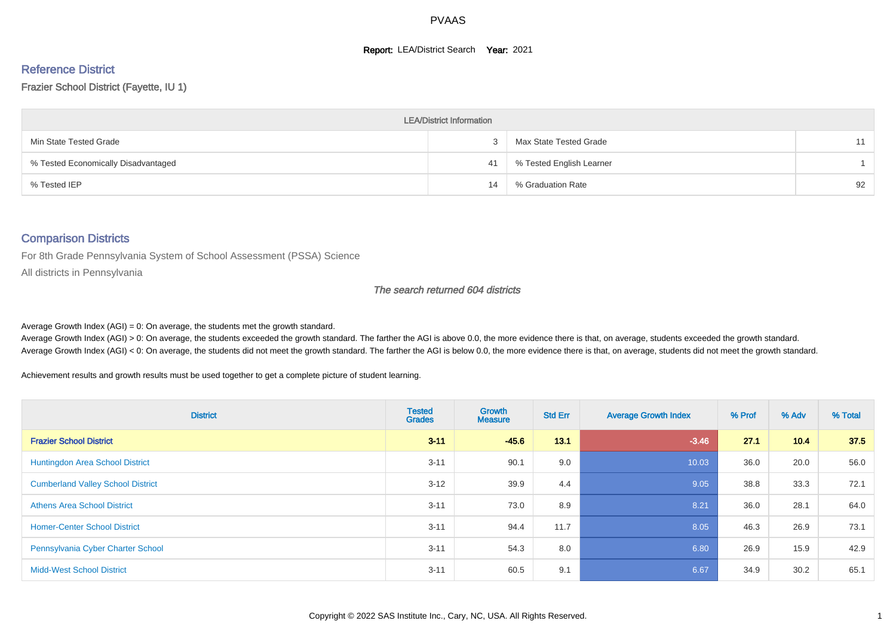#### **Report: LEA/District Search Year: 2021**

#### Reference District

Frazier School District (Fayette, IU 1)

| <b>LEA/District Information</b>     |    |                          |    |  |  |  |  |  |  |
|-------------------------------------|----|--------------------------|----|--|--|--|--|--|--|
| Min State Tested Grade              |    | Max State Tested Grade   | 11 |  |  |  |  |  |  |
| % Tested Economically Disadvantaged | 41 | % Tested English Learner |    |  |  |  |  |  |  |
| % Tested IEP                        | 14 | % Graduation Rate        | 92 |  |  |  |  |  |  |

#### Comparison Districts

For 8th Grade Pennsylvania System of School Assessment (PSSA) Science

All districts in Pennsylvania

#### The search returned 604 districts

Average Growth Index  $(AGI) = 0$ : On average, the students met the growth standard.

Average Growth Index (AGI) > 0: On average, the students exceeded the growth standard. The farther the AGI is above 0.0, the more evidence there is that, on average, students exceeded the growth standard. Average Growth Index (AGI) < 0: On average, the students did not meet the growth standard. The farther the AGI is below 0.0, the more evidence there is that, on average, students did not meet the growth standard.

Achievement results and growth results must be used together to get a complete picture of student learning.

| <b>District</b>                          | <b>Tested</b><br><b>Grades</b> | <b>Growth</b><br><b>Measure</b> | <b>Std Err</b> | <b>Average Growth Index</b> | % Prof | % Adv | % Total |
|------------------------------------------|--------------------------------|---------------------------------|----------------|-----------------------------|--------|-------|---------|
| <b>Frazier School District</b>           | $3 - 11$                       | $-45.6$                         | 13.1           | $-3.46$                     | 27.1   | 10.4  | 37.5    |
| <b>Huntingdon Area School District</b>   | $3 - 11$                       | 90.1                            | 9.0            | 10.03                       | 36.0   | 20.0  | 56.0    |
| <b>Cumberland Valley School District</b> | $3 - 12$                       | 39.9                            | 4.4            | 9.05                        | 38.8   | 33.3  | 72.1    |
| <b>Athens Area School District</b>       | $3 - 11$                       | 73.0                            | 8.9            | 8.21                        | 36.0   | 28.1  | 64.0    |
| <b>Homer-Center School District</b>      | $3 - 11$                       | 94.4                            | 11.7           | 8.05                        | 46.3   | 26.9  | 73.1    |
| Pennsylvania Cyber Charter School        | $3 - 11$                       | 54.3                            | 8.0            | 6.80                        | 26.9   | 15.9  | 42.9    |
| <b>Midd-West School District</b>         | $3 - 11$                       | 60.5                            | 9.1            | 6.67                        | 34.9   | 30.2  | 65.1    |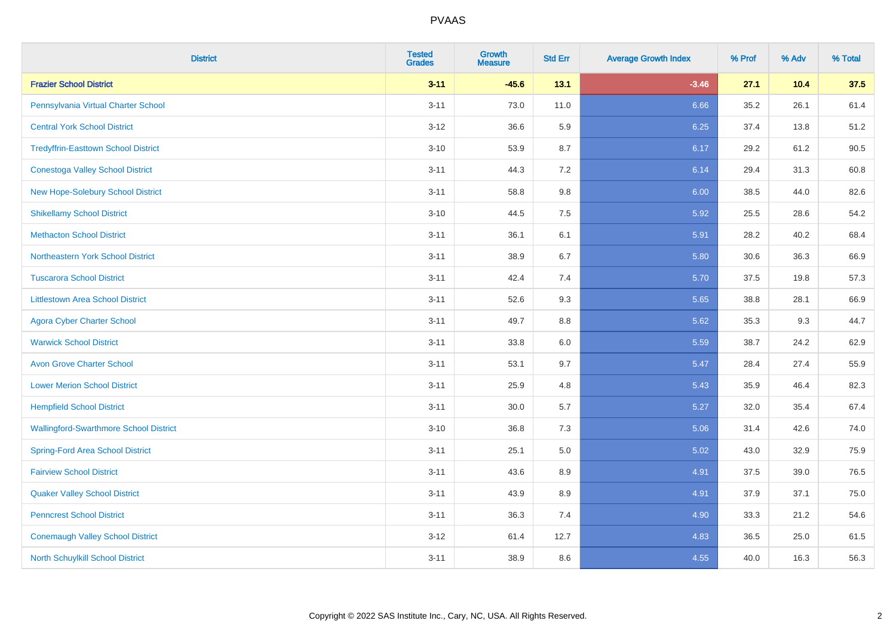| <b>District</b>                               | <b>Tested</b><br><b>Grades</b> | Growth<br>Measure | <b>Std Err</b> | <b>Average Growth Index</b> | % Prof | % Adv | % Total |
|-----------------------------------------------|--------------------------------|-------------------|----------------|-----------------------------|--------|-------|---------|
| <b>Frazier School District</b>                | $3 - 11$                       | $-45.6$           | 13.1           | $-3.46$                     | 27.1   | 10.4  | 37.5    |
| Pennsylvania Virtual Charter School           | $3 - 11$                       | 73.0              | 11.0           | 6.66                        | 35.2   | 26.1  | 61.4    |
| <b>Central York School District</b>           | $3 - 12$                       | 36.6              | 5.9            | 6.25                        | 37.4   | 13.8  | 51.2    |
| <b>Tredyffrin-Easttown School District</b>    | $3 - 10$                       | 53.9              | 8.7            | 6.17                        | 29.2   | 61.2  | 90.5    |
| <b>Conestoga Valley School District</b>       | $3 - 11$                       | 44.3              | 7.2            | 6.14                        | 29.4   | 31.3  | 60.8    |
| <b>New Hope-Solebury School District</b>      | $3 - 11$                       | 58.8              | $9.8\,$        | 6.00                        | 38.5   | 44.0  | 82.6    |
| <b>Shikellamy School District</b>             | $3 - 10$                       | 44.5              | 7.5            | 5.92                        | 25.5   | 28.6  | 54.2    |
| <b>Methacton School District</b>              | $3 - 11$                       | 36.1              | 6.1            | 5.91                        | 28.2   | 40.2  | 68.4    |
| Northeastern York School District             | $3 - 11$                       | 38.9              | 6.7            | 5.80                        | 30.6   | 36.3  | 66.9    |
| <b>Tuscarora School District</b>              | $3 - 11$                       | 42.4              | 7.4            | 5.70                        | 37.5   | 19.8  | 57.3    |
| <b>Littlestown Area School District</b>       | $3 - 11$                       | 52.6              | 9.3            | 5.65                        | 38.8   | 28.1  | 66.9    |
| <b>Agora Cyber Charter School</b>             | $3 - 11$                       | 49.7              | 8.8            | 5.62                        | 35.3   | 9.3   | 44.7    |
| <b>Warwick School District</b>                | $3 - 11$                       | 33.8              | $6.0\,$        | 5.59                        | 38.7   | 24.2  | 62.9    |
| <b>Avon Grove Charter School</b>              | $3 - 11$                       | 53.1              | 9.7            | 5.47                        | 28.4   | 27.4  | 55.9    |
| <b>Lower Merion School District</b>           | $3 - 11$                       | 25.9              | 4.8            | 5.43                        | 35.9   | 46.4  | 82.3    |
| <b>Hempfield School District</b>              | $3 - 11$                       | 30.0              | $5.7\,$        | 5.27                        | 32.0   | 35.4  | 67.4    |
| <b>Wallingford-Swarthmore School District</b> | $3 - 10$                       | 36.8              | 7.3            | 5.06                        | 31.4   | 42.6  | 74.0    |
| <b>Spring-Ford Area School District</b>       | $3 - 11$                       | 25.1              | $5.0\,$        | 5.02                        | 43.0   | 32.9  | 75.9    |
| <b>Fairview School District</b>               | $3 - 11$                       | 43.6              | 8.9            | 4.91                        | 37.5   | 39.0  | 76.5    |
| <b>Quaker Valley School District</b>          | $3 - 11$                       | 43.9              | 8.9            | 4.91                        | 37.9   | 37.1  | 75.0    |
| <b>Penncrest School District</b>              | $3 - 11$                       | 36.3              | 7.4            | 4.90                        | 33.3   | 21.2  | 54.6    |
| <b>Conemaugh Valley School District</b>       | $3 - 12$                       | 61.4              | 12.7           | 4.83                        | 36.5   | 25.0  | 61.5    |
| <b>North Schuylkill School District</b>       | $3 - 11$                       | 38.9              | 8.6            | 4.55                        | 40.0   | 16.3  | 56.3    |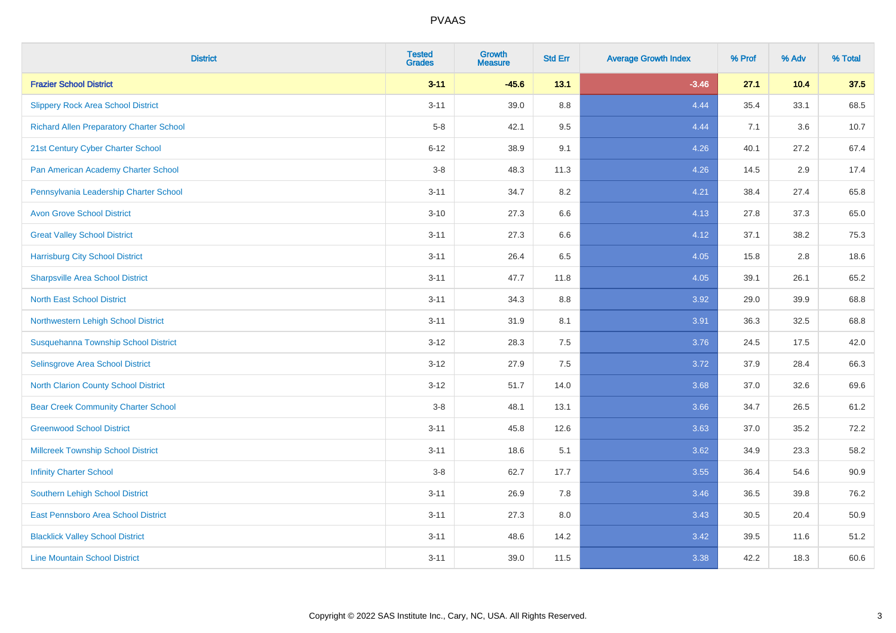| <b>District</b>                                 | <b>Tested</b><br><b>Grades</b> | Growth<br><b>Measure</b> | <b>Std Err</b> | <b>Average Growth Index</b> | % Prof | % Adv | % Total |
|-------------------------------------------------|--------------------------------|--------------------------|----------------|-----------------------------|--------|-------|---------|
| <b>Frazier School District</b>                  | $3 - 11$                       | $-45.6$                  | 13.1           | $-3.46$                     | 27.1   | 10.4  | 37.5    |
| <b>Slippery Rock Area School District</b>       | $3 - 11$                       | 39.0                     | 8.8            | 4.44                        | 35.4   | 33.1  | 68.5    |
| <b>Richard Allen Preparatory Charter School</b> | $5-8$                          | 42.1                     | 9.5            | 4.44                        | 7.1    | 3.6   | 10.7    |
| 21st Century Cyber Charter School               | $6 - 12$                       | 38.9                     | 9.1            | 4.26                        | 40.1   | 27.2  | 67.4    |
| Pan American Academy Charter School             | $3-8$                          | 48.3                     | 11.3           | 4.26                        | 14.5   | 2.9   | 17.4    |
| Pennsylvania Leadership Charter School          | $3 - 11$                       | 34.7                     | 8.2            | 4.21                        | 38.4   | 27.4  | 65.8    |
| <b>Avon Grove School District</b>               | $3 - 10$                       | 27.3                     | 6.6            | 4.13                        | 27.8   | 37.3  | 65.0    |
| <b>Great Valley School District</b>             | $3 - 11$                       | 27.3                     | 6.6            | 4.12                        | 37.1   | 38.2  | 75.3    |
| <b>Harrisburg City School District</b>          | $3 - 11$                       | 26.4                     | 6.5            | 4.05                        | 15.8   | 2.8   | 18.6    |
| <b>Sharpsville Area School District</b>         | $3 - 11$                       | 47.7                     | 11.8           | 4.05                        | 39.1   | 26.1  | 65.2    |
| <b>North East School District</b>               | $3 - 11$                       | 34.3                     | 8.8            | 3.92                        | 29.0   | 39.9  | 68.8    |
| Northwestern Lehigh School District             | $3 - 11$                       | 31.9                     | 8.1            | 3.91                        | 36.3   | 32.5  | 68.8    |
| Susquehanna Township School District            | $3 - 12$                       | 28.3                     | 7.5            | 3.76                        | 24.5   | 17.5  | 42.0    |
| Selinsgrove Area School District                | $3 - 12$                       | 27.9                     | 7.5            | 3.72                        | 37.9   | 28.4  | 66.3    |
| North Clarion County School District            | $3 - 12$                       | 51.7                     | 14.0           | 3.68                        | 37.0   | 32.6  | 69.6    |
| <b>Bear Creek Community Charter School</b>      | $3-8$                          | 48.1                     | 13.1           | 3.66                        | 34.7   | 26.5  | 61.2    |
| <b>Greenwood School District</b>                | $3 - 11$                       | 45.8                     | 12.6           | 3.63                        | 37.0   | 35.2  | 72.2    |
| <b>Millcreek Township School District</b>       | $3 - 11$                       | 18.6                     | 5.1            | 3.62                        | 34.9   | 23.3  | 58.2    |
| <b>Infinity Charter School</b>                  | $3-8$                          | 62.7                     | 17.7           | 3.55                        | 36.4   | 54.6  | 90.9    |
| <b>Southern Lehigh School District</b>          | $3 - 11$                       | 26.9                     | 7.8            | 3.46                        | 36.5   | 39.8  | 76.2    |
| East Pennsboro Area School District             | $3 - 11$                       | 27.3                     | $8.0\,$        | 3.43                        | 30.5   | 20.4  | 50.9    |
| <b>Blacklick Valley School District</b>         | $3 - 11$                       | 48.6                     | 14.2           | 3.42                        | 39.5   | 11.6  | 51.2    |
| <b>Line Mountain School District</b>            | $3 - 11$                       | 39.0                     | 11.5           | 3.38                        | 42.2   | 18.3  | 60.6    |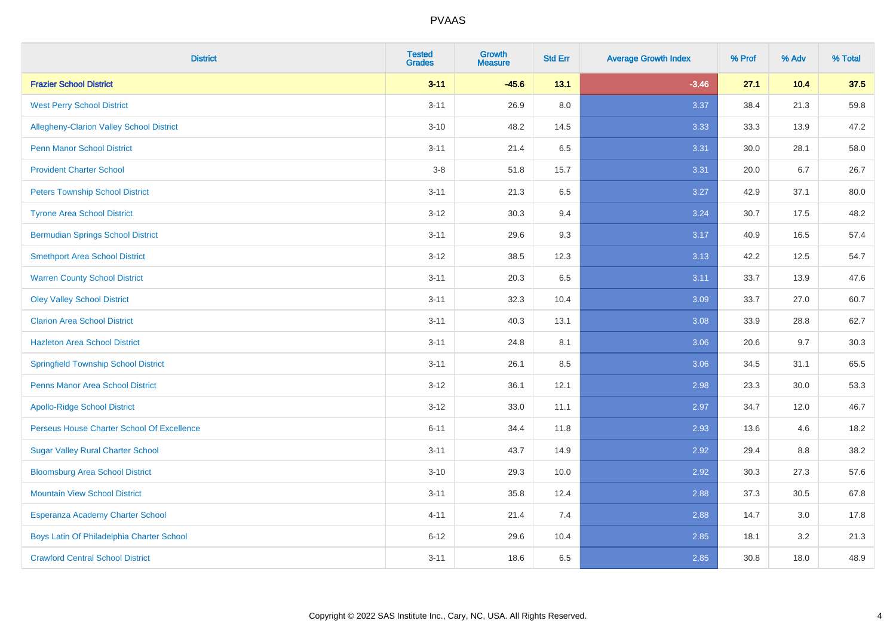| <b>District</b>                                 | <b>Tested</b><br><b>Grades</b> | <b>Growth</b><br><b>Measure</b> | <b>Std Err</b> | <b>Average Growth Index</b> | % Prof | % Adv | % Total |
|-------------------------------------------------|--------------------------------|---------------------------------|----------------|-----------------------------|--------|-------|---------|
| <b>Frazier School District</b>                  | $3 - 11$                       | $-45.6$                         | 13.1           | $-3.46$                     | 27.1   | 10.4  | 37.5    |
| <b>West Perry School District</b>               | $3 - 11$                       | 26.9                            | 8.0            | 3.37                        | 38.4   | 21.3  | 59.8    |
| <b>Allegheny-Clarion Valley School District</b> | $3 - 10$                       | 48.2                            | 14.5           | 3.33                        | 33.3   | 13.9  | 47.2    |
| <b>Penn Manor School District</b>               | $3 - 11$                       | 21.4                            | 6.5            | 3.31                        | 30.0   | 28.1  | 58.0    |
| <b>Provident Charter School</b>                 | $3-8$                          | 51.8                            | 15.7           | 3.31                        | 20.0   | 6.7   | 26.7    |
| <b>Peters Township School District</b>          | $3 - 11$                       | 21.3                            | 6.5            | 3.27                        | 42.9   | 37.1  | 80.0    |
| <b>Tyrone Area School District</b>              | $3 - 12$                       | 30.3                            | 9.4            | 3.24                        | 30.7   | 17.5  | 48.2    |
| <b>Bermudian Springs School District</b>        | $3 - 11$                       | 29.6                            | 9.3            | 3.17                        | 40.9   | 16.5  | 57.4    |
| <b>Smethport Area School District</b>           | $3 - 12$                       | 38.5                            | 12.3           | 3.13                        | 42.2   | 12.5  | 54.7    |
| <b>Warren County School District</b>            | $3 - 11$                       | 20.3                            | 6.5            | 3.11                        | 33.7   | 13.9  | 47.6    |
| <b>Oley Valley School District</b>              | $3 - 11$                       | 32.3                            | 10.4           | 3.09                        | 33.7   | 27.0  | 60.7    |
| <b>Clarion Area School District</b>             | $3 - 11$                       | 40.3                            | 13.1           | 3.08                        | 33.9   | 28.8  | 62.7    |
| <b>Hazleton Area School District</b>            | $3 - 11$                       | 24.8                            | 8.1            | 3.06                        | 20.6   | 9.7   | 30.3    |
| <b>Springfield Township School District</b>     | $3 - 11$                       | 26.1                            | 8.5            | 3.06                        | 34.5   | 31.1  | 65.5    |
| <b>Penns Manor Area School District</b>         | $3 - 12$                       | 36.1                            | 12.1           | 2.98                        | 23.3   | 30.0  | 53.3    |
| <b>Apollo-Ridge School District</b>             | $3 - 12$                       | 33.0                            | 11.1           | 2.97                        | 34.7   | 12.0  | 46.7    |
| Perseus House Charter School Of Excellence      | $6 - 11$                       | 34.4                            | 11.8           | 2.93                        | 13.6   | 4.6   | 18.2    |
| <b>Sugar Valley Rural Charter School</b>        | $3 - 11$                       | 43.7                            | 14.9           | 2.92                        | 29.4   | 8.8   | 38.2    |
| <b>Bloomsburg Area School District</b>          | $3 - 10$                       | 29.3                            | 10.0           | 2.92                        | 30.3   | 27.3  | 57.6    |
| <b>Mountain View School District</b>            | $3 - 11$                       | 35.8                            | 12.4           | 2.88                        | 37.3   | 30.5  | 67.8    |
| Esperanza Academy Charter School                | $4 - 11$                       | 21.4                            | 7.4            | 2.88                        | 14.7   | 3.0   | 17.8    |
| Boys Latin Of Philadelphia Charter School       | $6 - 12$                       | 29.6                            | 10.4           | 2.85                        | 18.1   | 3.2   | 21.3    |
| <b>Crawford Central School District</b>         | $3 - 11$                       | 18.6                            | 6.5            | 2.85                        | 30.8   | 18.0  | 48.9    |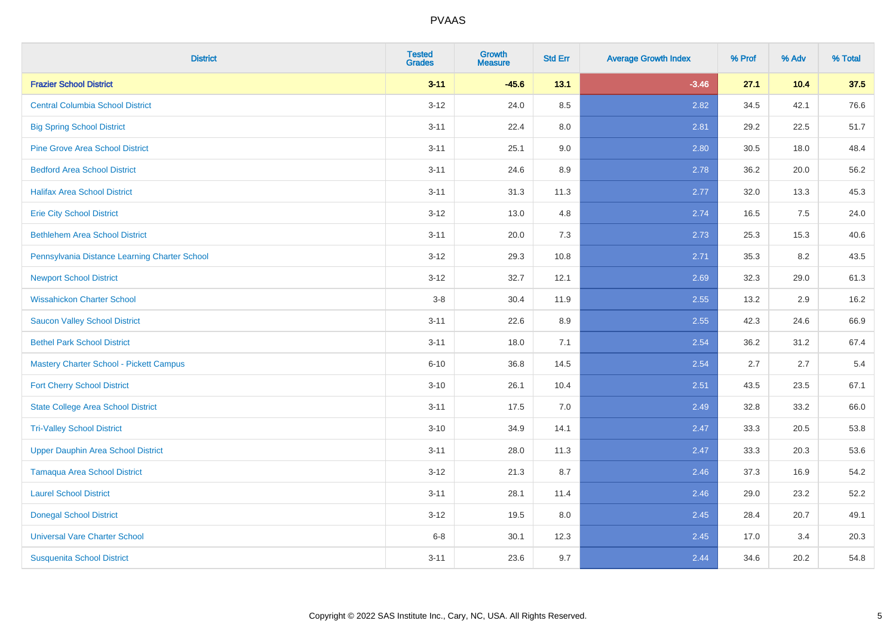| <b>District</b>                                | <b>Tested</b><br><b>Grades</b> | <b>Growth</b><br>Measure | <b>Std Err</b> | <b>Average Growth Index</b> | % Prof | % Adv | % Total |
|------------------------------------------------|--------------------------------|--------------------------|----------------|-----------------------------|--------|-------|---------|
| <b>Frazier School District</b>                 | $3 - 11$                       | $-45.6$                  | 13.1           | $-3.46$                     | 27.1   | 10.4  | 37.5    |
| <b>Central Columbia School District</b>        | $3 - 12$                       | 24.0                     | 8.5            | 2.82                        | 34.5   | 42.1  | 76.6    |
| <b>Big Spring School District</b>              | $3 - 11$                       | 22.4                     | 8.0            | 2.81                        | 29.2   | 22.5  | 51.7    |
| <b>Pine Grove Area School District</b>         | $3 - 11$                       | 25.1                     | 9.0            | 2.80                        | 30.5   | 18.0  | 48.4    |
| <b>Bedford Area School District</b>            | $3 - 11$                       | 24.6                     | 8.9            | 2.78                        | 36.2   | 20.0  | 56.2    |
| <b>Halifax Area School District</b>            | $3 - 11$                       | 31.3                     | 11.3           | 2.77                        | 32.0   | 13.3  | 45.3    |
| <b>Erie City School District</b>               | $3 - 12$                       | 13.0                     | 4.8            | 2.74                        | 16.5   | 7.5   | 24.0    |
| <b>Bethlehem Area School District</b>          | $3 - 11$                       | 20.0                     | 7.3            | 2.73                        | 25.3   | 15.3  | 40.6    |
| Pennsylvania Distance Learning Charter School  | $3 - 12$                       | 29.3                     | 10.8           | 2.71                        | 35.3   | 8.2   | 43.5    |
| <b>Newport School District</b>                 | $3 - 12$                       | 32.7                     | 12.1           | 2.69                        | 32.3   | 29.0  | 61.3    |
| <b>Wissahickon Charter School</b>              | $3-8$                          | 30.4                     | 11.9           | 2.55                        | 13.2   | 2.9   | 16.2    |
| <b>Saucon Valley School District</b>           | $3 - 11$                       | 22.6                     | 8.9            | 2.55                        | 42.3   | 24.6  | 66.9    |
| <b>Bethel Park School District</b>             | $3 - 11$                       | 18.0                     | 7.1            | 2.54                        | 36.2   | 31.2  | 67.4    |
| <b>Mastery Charter School - Pickett Campus</b> | $6 - 10$                       | 36.8                     | 14.5           | 2.54                        | 2.7    | 2.7   | 5.4     |
| <b>Fort Cherry School District</b>             | $3 - 10$                       | 26.1                     | 10.4           | 2.51                        | 43.5   | 23.5  | 67.1    |
| <b>State College Area School District</b>      | $3 - 11$                       | 17.5                     | 7.0            | 2.49                        | 32.8   | 33.2  | 66.0    |
| <b>Tri-Valley School District</b>              | $3 - 10$                       | 34.9                     | 14.1           | 2.47                        | 33.3   | 20.5  | 53.8    |
| <b>Upper Dauphin Area School District</b>      | $3 - 11$                       | 28.0                     | 11.3           | 2.47                        | 33.3   | 20.3  | 53.6    |
| Tamaqua Area School District                   | $3 - 12$                       | 21.3                     | 8.7            | 2.46                        | 37.3   | 16.9  | 54.2    |
| <b>Laurel School District</b>                  | $3 - 11$                       | 28.1                     | 11.4           | 2.46                        | 29.0   | 23.2  | 52.2    |
| <b>Donegal School District</b>                 | $3 - 12$                       | 19.5                     | $8.0\,$        | 2.45                        | 28.4   | 20.7  | 49.1    |
| <b>Universal Vare Charter School</b>           | $6 - 8$                        | 30.1                     | 12.3           | 2.45                        | 17.0   | 3.4   | 20.3    |
| <b>Susquenita School District</b>              | $3 - 11$                       | 23.6                     | 9.7            | 2.44                        | 34.6   | 20.2  | 54.8    |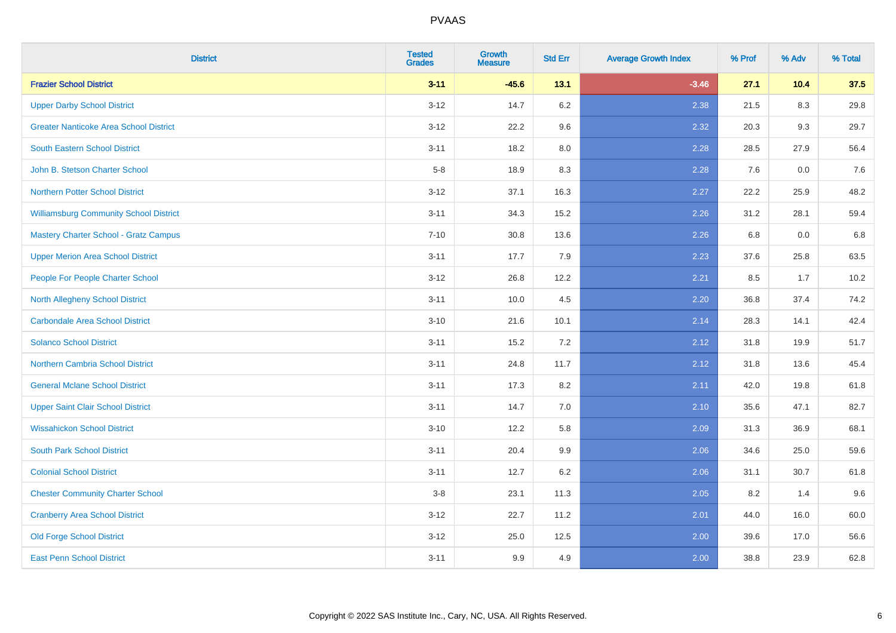| <b>District</b>                               | <b>Tested</b><br><b>Grades</b> | <b>Growth</b><br><b>Measure</b> | <b>Std Err</b> | <b>Average Growth Index</b> | % Prof | % Adv | % Total |
|-----------------------------------------------|--------------------------------|---------------------------------|----------------|-----------------------------|--------|-------|---------|
| <b>Frazier School District</b>                | $3 - 11$                       | $-45.6$                         | 13.1           | $-3.46$                     | 27.1   | 10.4  | 37.5    |
| <b>Upper Darby School District</b>            | $3 - 12$                       | 14.7                            | $6.2\,$        | 2.38                        | 21.5   | 8.3   | 29.8    |
| <b>Greater Nanticoke Area School District</b> | $3 - 12$                       | 22.2                            | 9.6            | 2.32                        | 20.3   | 9.3   | 29.7    |
| <b>South Eastern School District</b>          | $3 - 11$                       | 18.2                            | 8.0            | 2.28                        | 28.5   | 27.9  | 56.4    |
| John B. Stetson Charter School                | $5-8$                          | 18.9                            | 8.3            | 2.28                        | 7.6    | 0.0   | 7.6     |
| <b>Northern Potter School District</b>        | $3 - 12$                       | 37.1                            | 16.3           | 2.27                        | 22.2   | 25.9  | 48.2    |
| <b>Williamsburg Community School District</b> | $3 - 11$                       | 34.3                            | 15.2           | 2.26                        | 31.2   | 28.1  | 59.4    |
| <b>Mastery Charter School - Gratz Campus</b>  | $7 - 10$                       | 30.8                            | 13.6           | 2.26                        | 6.8    | 0.0   | 6.8     |
| <b>Upper Merion Area School District</b>      | $3 - 11$                       | 17.7                            | 7.9            | 2.23                        | 37.6   | 25.8  | 63.5    |
| People For People Charter School              | $3-12$                         | 26.8                            | 12.2           | 2.21                        | 8.5    | 1.7   | 10.2    |
| North Allegheny School District               | $3 - 11$                       | 10.0                            | 4.5            | 2.20                        | 36.8   | 37.4  | 74.2    |
| <b>Carbondale Area School District</b>        | $3 - 10$                       | 21.6                            | 10.1           | 2.14                        | 28.3   | 14.1  | 42.4    |
| <b>Solanco School District</b>                | $3 - 11$                       | 15.2                            | 7.2            | 2.12                        | 31.8   | 19.9  | 51.7    |
| <b>Northern Cambria School District</b>       | $3 - 11$                       | 24.8                            | 11.7           | 2.12                        | 31.8   | 13.6  | 45.4    |
| <b>General Mclane School District</b>         | $3 - 11$                       | 17.3                            | 8.2            | 2.11                        | 42.0   | 19.8  | 61.8    |
| <b>Upper Saint Clair School District</b>      | $3 - 11$                       | 14.7                            | 7.0            | 2.10                        | 35.6   | 47.1  | 82.7    |
| <b>Wissahickon School District</b>            | $3 - 10$                       | 12.2                            | 5.8            | 2.09                        | 31.3   | 36.9  | 68.1    |
| <b>South Park School District</b>             | $3 - 11$                       | 20.4                            | 9.9            | 2.06                        | 34.6   | 25.0  | 59.6    |
| <b>Colonial School District</b>               | $3 - 11$                       | 12.7                            | $6.2\,$        | 2.06                        | 31.1   | 30.7  | 61.8    |
| <b>Chester Community Charter School</b>       | $3-8$                          | 23.1                            | 11.3           | 2.05                        | 8.2    | 1.4   | 9.6     |
| <b>Cranberry Area School District</b>         | $3 - 12$                       | 22.7                            | 11.2           | 2.01                        | 44.0   | 16.0  | 60.0    |
| <b>Old Forge School District</b>              | $3 - 12$                       | 25.0                            | 12.5           | 2.00                        | 39.6   | 17.0  | 56.6    |
| <b>East Penn School District</b>              | $3 - 11$                       | 9.9                             | 4.9            | 2.00                        | 38.8   | 23.9  | 62.8    |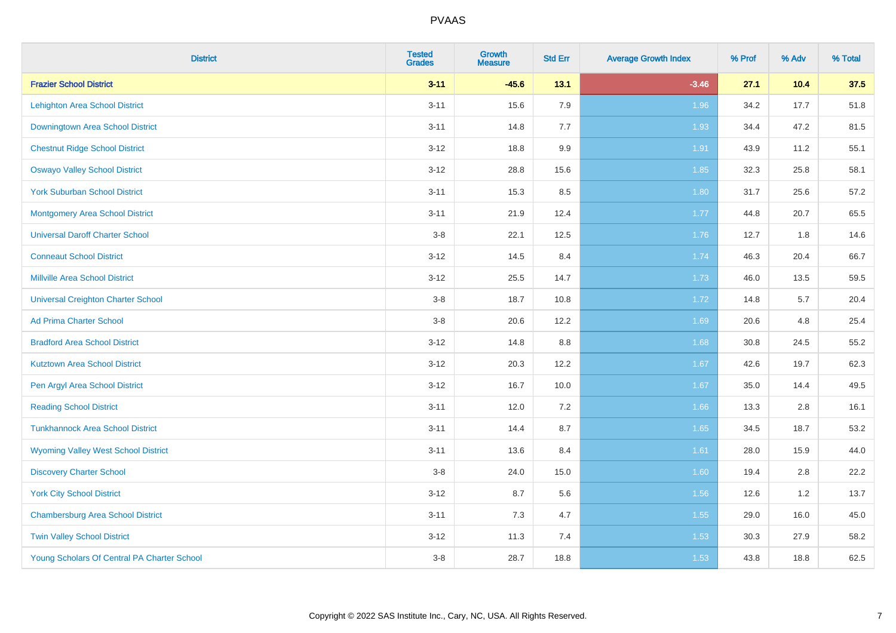| <b>District</b>                             | <b>Tested</b><br><b>Grades</b> | Growth<br><b>Measure</b> | <b>Std Err</b> | <b>Average Growth Index</b> | % Prof | % Adv | % Total |
|---------------------------------------------|--------------------------------|--------------------------|----------------|-----------------------------|--------|-------|---------|
| <b>Frazier School District</b>              | $3 - 11$                       | $-45.6$                  | 13.1           | $-3.46$                     | 27.1   | 10.4  | 37.5    |
| <b>Lehighton Area School District</b>       | $3 - 11$                       | 15.6                     | 7.9            | 1.96                        | 34.2   | 17.7  | 51.8    |
| Downingtown Area School District            | $3 - 11$                       | 14.8                     | 7.7            | 1.93                        | 34.4   | 47.2  | 81.5    |
| <b>Chestnut Ridge School District</b>       | $3 - 12$                       | 18.8                     | 9.9            | 1.91                        | 43.9   | 11.2  | 55.1    |
| <b>Oswayo Valley School District</b>        | $3 - 12$                       | 28.8                     | 15.6           | 1.85                        | 32.3   | 25.8  | 58.1    |
| <b>York Suburban School District</b>        | $3 - 11$                       | 15.3                     | 8.5            | 1.80                        | 31.7   | 25.6  | 57.2    |
| <b>Montgomery Area School District</b>      | $3 - 11$                       | 21.9                     | 12.4           | 1.77                        | 44.8   | 20.7  | 65.5    |
| <b>Universal Daroff Charter School</b>      | $3-8$                          | 22.1                     | 12.5           | 1.76                        | 12.7   | 1.8   | 14.6    |
| <b>Conneaut School District</b>             | $3 - 12$                       | 14.5                     | 8.4            | 1.74                        | 46.3   | 20.4  | 66.7    |
| <b>Millville Area School District</b>       | $3 - 12$                       | 25.5                     | 14.7           | 1.73                        | 46.0   | 13.5  | 59.5    |
| <b>Universal Creighton Charter School</b>   | $3-8$                          | 18.7                     | 10.8           | 1.72                        | 14.8   | 5.7   | 20.4    |
| <b>Ad Prima Charter School</b>              | $3-8$                          | 20.6                     | 12.2           | 1.69                        | 20.6   | 4.8   | 25.4    |
| <b>Bradford Area School District</b>        | $3 - 12$                       | 14.8                     | 8.8            | 1.68                        | 30.8   | 24.5  | 55.2    |
| <b>Kutztown Area School District</b>        | $3 - 12$                       | 20.3                     | 12.2           | 1.67                        | 42.6   | 19.7  | 62.3    |
| Pen Argyl Area School District              | $3 - 12$                       | 16.7                     | 10.0           | 1.67                        | 35.0   | 14.4  | 49.5    |
| <b>Reading School District</b>              | $3 - 11$                       | 12.0                     | 7.2            | 1.66                        | 13.3   | 2.8   | 16.1    |
| <b>Tunkhannock Area School District</b>     | $3 - 11$                       | 14.4                     | 8.7            | 1.65                        | 34.5   | 18.7  | 53.2    |
| <b>Wyoming Valley West School District</b>  | $3 - 11$                       | 13.6                     | 8.4            | 1.61                        | 28.0   | 15.9  | 44.0    |
| <b>Discovery Charter School</b>             | $3-8$                          | 24.0                     | 15.0           | 1.60                        | 19.4   | 2.8   | 22.2    |
| <b>York City School District</b>            | $3 - 12$                       | 8.7                      | 5.6            | 1.56                        | 12.6   | 1.2   | 13.7    |
| <b>Chambersburg Area School District</b>    | $3 - 11$                       | 7.3                      | 4.7            | $1.55$                      | 29.0   | 16.0  | 45.0    |
| <b>Twin Valley School District</b>          | $3 - 12$                       | 11.3                     | 7.4            | 1.53                        | 30.3   | 27.9  | 58.2    |
| Young Scholars Of Central PA Charter School | $3 - 8$                        | 28.7                     | 18.8           | 1.53                        | 43.8   | 18.8  | 62.5    |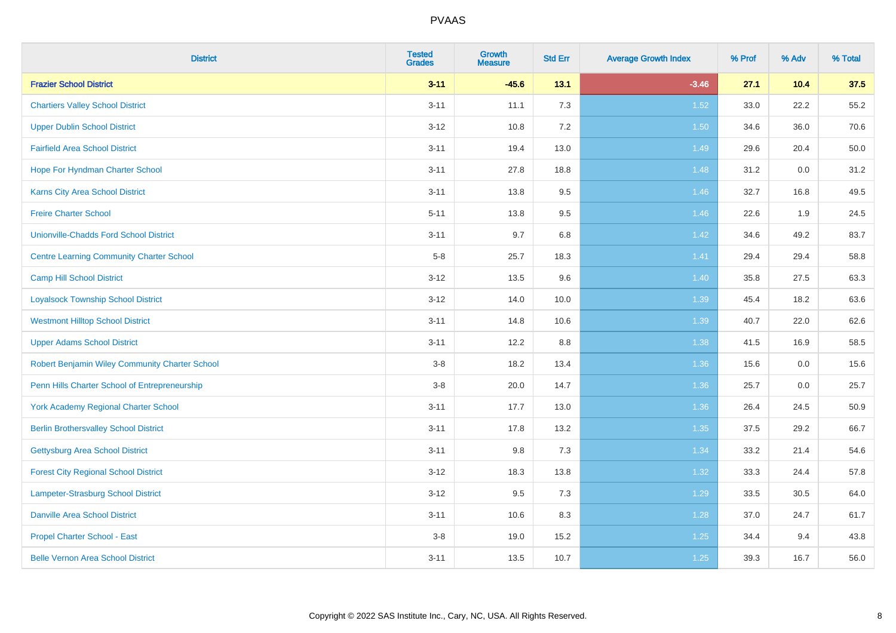| <b>District</b>                                 | <b>Tested</b><br><b>Grades</b> | <b>Growth</b><br><b>Measure</b> | <b>Std Err</b> | <b>Average Growth Index</b> | % Prof | % Adv | % Total |
|-------------------------------------------------|--------------------------------|---------------------------------|----------------|-----------------------------|--------|-------|---------|
| <b>Frazier School District</b>                  | $3 - 11$                       | $-45.6$                         | 13.1           | $-3.46$                     | 27.1   | 10.4  | 37.5    |
| <b>Chartiers Valley School District</b>         | $3 - 11$                       | 11.1                            | 7.3            | 1.52                        | 33.0   | 22.2  | 55.2    |
| <b>Upper Dublin School District</b>             | $3 - 12$                       | 10.8                            | 7.2            | 1.50                        | 34.6   | 36.0  | 70.6    |
| <b>Fairfield Area School District</b>           | $3 - 11$                       | 19.4                            | 13.0           | 1.49                        | 29.6   | 20.4  | 50.0    |
| Hope For Hyndman Charter School                 | $3 - 11$                       | 27.8                            | 18.8           | 1.48                        | 31.2   | 0.0   | 31.2    |
| <b>Karns City Area School District</b>          | $3 - 11$                       | 13.8                            | 9.5            | 1.46                        | 32.7   | 16.8  | 49.5    |
| <b>Freire Charter School</b>                    | $5 - 11$                       | 13.8                            | $9.5\,$        | 1.46                        | 22.6   | 1.9   | 24.5    |
| <b>Unionville-Chadds Ford School District</b>   | $3 - 11$                       | 9.7                             | 6.8            | 1.42                        | 34.6   | 49.2  | 83.7    |
| <b>Centre Learning Community Charter School</b> | $5-8$                          | 25.7                            | 18.3           | 1.41                        | 29.4   | 29.4  | 58.8    |
| <b>Camp Hill School District</b>                | $3 - 12$                       | 13.5                            | 9.6            | 1.40                        | 35.8   | 27.5  | 63.3    |
| <b>Loyalsock Township School District</b>       | $3 - 12$                       | 14.0                            | 10.0           | 1.39                        | 45.4   | 18.2  | 63.6    |
| <b>Westmont Hilltop School District</b>         | $3 - 11$                       | 14.8                            | 10.6           | 1.39                        | 40.7   | 22.0  | 62.6    |
| <b>Upper Adams School District</b>              | $3 - 11$                       | 12.2                            | 8.8            | 1.38                        | 41.5   | 16.9  | 58.5    |
| Robert Benjamin Wiley Community Charter School  | $3-8$                          | 18.2                            | 13.4           | 1.36                        | 15.6   | 0.0   | 15.6    |
| Penn Hills Charter School of Entrepreneurship   | $3 - 8$                        | 20.0                            | 14.7           | 1.36                        | 25.7   | 0.0   | 25.7    |
| <b>York Academy Regional Charter School</b>     | $3 - 11$                       | 17.7                            | 13.0           | 1.36                        | 26.4   | 24.5  | 50.9    |
| <b>Berlin Brothersvalley School District</b>    | $3 - 11$                       | 17.8                            | 13.2           | 1.35                        | 37.5   | 29.2  | 66.7    |
| Gettysburg Area School District                 | $3 - 11$                       | 9.8                             | 7.3            | 1.34                        | 33.2   | 21.4  | 54.6    |
| <b>Forest City Regional School District</b>     | $3 - 12$                       | 18.3                            | 13.8           | 1.32                        | 33.3   | 24.4  | 57.8    |
| Lampeter-Strasburg School District              | $3-12$                         | 9.5                             | 7.3            | 1.29                        | 33.5   | 30.5  | 64.0    |
| <b>Danville Area School District</b>            | $3 - 11$                       | 10.6                            | 8.3            | 1.28                        | 37.0   | 24.7  | 61.7    |
| <b>Propel Charter School - East</b>             | $3-8$                          | 19.0                            | 15.2           | $1.25$                      | 34.4   | 9.4   | 43.8    |
| <b>Belle Vernon Area School District</b>        | $3 - 11$                       | 13.5                            | 10.7           | $1.25$                      | 39.3   | 16.7  | 56.0    |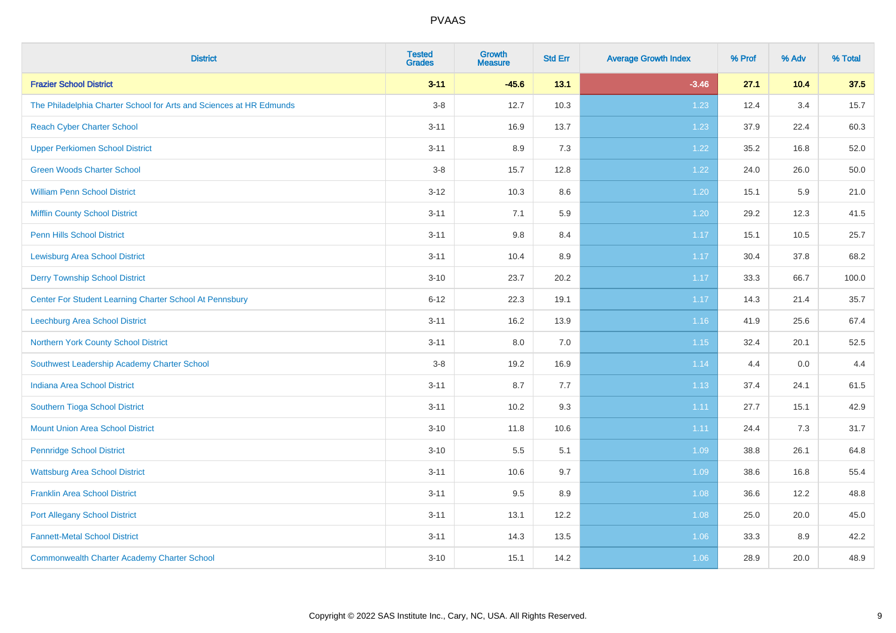| <b>District</b>                                                     | <b>Tested</b><br><b>Grades</b> | Growth<br><b>Measure</b> | <b>Std Err</b> | <b>Average Growth Index</b> | % Prof | % Adv | % Total |
|---------------------------------------------------------------------|--------------------------------|--------------------------|----------------|-----------------------------|--------|-------|---------|
| <b>Frazier School District</b>                                      | $3 - 11$                       | $-45.6$                  | 13.1           | $-3.46$                     | 27.1   | 10.4  | 37.5    |
| The Philadelphia Charter School for Arts and Sciences at HR Edmunds | $3-8$                          | 12.7                     | 10.3           | 1.23                        | 12.4   | 3.4   | 15.7    |
| <b>Reach Cyber Charter School</b>                                   | $3 - 11$                       | 16.9                     | 13.7           | 1.23                        | 37.9   | 22.4  | 60.3    |
| <b>Upper Perkiomen School District</b>                              | $3 - 11$                       | 8.9                      | 7.3            | 1.22                        | 35.2   | 16.8  | 52.0    |
| <b>Green Woods Charter School</b>                                   | $3 - 8$                        | 15.7                     | 12.8           | 1.22                        | 24.0   | 26.0  | 50.0    |
| <b>William Penn School District</b>                                 | $3 - 12$                       | 10.3                     | 8.6            | 1.20                        | 15.1   | 5.9   | 21.0    |
| <b>Mifflin County School District</b>                               | $3 - 11$                       | 7.1                      | 5.9            | 1.20                        | 29.2   | 12.3  | 41.5    |
| <b>Penn Hills School District</b>                                   | $3 - 11$                       | $9.8\,$                  | 8.4            | 1.17                        | 15.1   | 10.5  | 25.7    |
| <b>Lewisburg Area School District</b>                               | $3 - 11$                       | 10.4                     | 8.9            | 1.17                        | 30.4   | 37.8  | 68.2    |
| <b>Derry Township School District</b>                               | $3 - 10$                       | 23.7                     | 20.2           | 1.17                        | 33.3   | 66.7  | 100.0   |
| Center For Student Learning Charter School At Pennsbury             | $6 - 12$                       | 22.3                     | 19.1           | 1.17                        | 14.3   | 21.4  | 35.7    |
| Leechburg Area School District                                      | $3 - 11$                       | 16.2                     | 13.9           | 1.16                        | 41.9   | 25.6  | 67.4    |
| Northern York County School District                                | $3 - 11$                       | 8.0                      | 7.0            | 1.15                        | 32.4   | 20.1  | 52.5    |
| Southwest Leadership Academy Charter School                         | $3 - 8$                        | 19.2                     | 16.9           | 1.14                        | 4.4    | 0.0   | 4.4     |
| <b>Indiana Area School District</b>                                 | $3 - 11$                       | 8.7                      | 7.7            | 1.13                        | 37.4   | 24.1  | 61.5    |
| Southern Tioga School District                                      | $3 - 11$                       | 10.2                     | 9.3            | 1.11                        | 27.7   | 15.1  | 42.9    |
| <b>Mount Union Area School District</b>                             | $3 - 10$                       | 11.8                     | 10.6           | 1.11                        | 24.4   | 7.3   | 31.7    |
| <b>Pennridge School District</b>                                    | $3 - 10$                       | 5.5                      | 5.1            | 1.09                        | 38.8   | 26.1  | 64.8    |
| <b>Wattsburg Area School District</b>                               | $3 - 11$                       | 10.6                     | 9.7            | 1.09                        | 38.6   | 16.8  | 55.4    |
| <b>Franklin Area School District</b>                                | $3 - 11$                       | 9.5                      | 8.9            | 1.08                        | 36.6   | 12.2  | 48.8    |
| <b>Port Allegany School District</b>                                | $3 - 11$                       | 13.1                     | 12.2           | 1.08                        | 25.0   | 20.0  | 45.0    |
| <b>Fannett-Metal School District</b>                                | $3 - 11$                       | 14.3                     | 13.5           | 1.06                        | 33.3   | 8.9   | 42.2    |
| <b>Commonwealth Charter Academy Charter School</b>                  | $3 - 10$                       | 15.1                     | 14.2           | 1.06                        | 28.9   | 20.0  | 48.9    |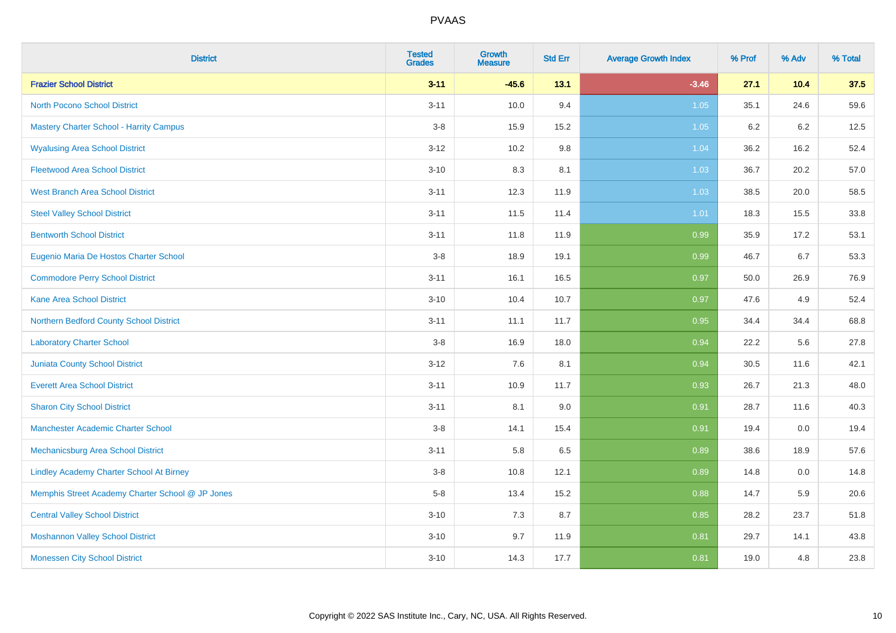| <b>District</b>                                  | <b>Tested</b><br><b>Grades</b> | Growth<br><b>Measure</b> | <b>Std Err</b> | <b>Average Growth Index</b> | % Prof  | % Adv | % Total |
|--------------------------------------------------|--------------------------------|--------------------------|----------------|-----------------------------|---------|-------|---------|
| <b>Frazier School District</b>                   | $3 - 11$                       | $-45.6$                  | 13.1           | $-3.46$                     | 27.1    | 10.4  | 37.5    |
| <b>North Pocono School District</b>              | $3 - 11$                       | 10.0                     | 9.4            | 1.05                        | 35.1    | 24.6  | 59.6    |
| <b>Mastery Charter School - Harrity Campus</b>   | $3 - 8$                        | 15.9                     | 15.2           | 1.05                        | $6.2\,$ | 6.2   | 12.5    |
| <b>Wyalusing Area School District</b>            | $3 - 12$                       | 10.2                     | 9.8            | 1.04                        | 36.2    | 16.2  | 52.4    |
| <b>Fleetwood Area School District</b>            | $3 - 10$                       | 8.3                      | 8.1            | 1.03                        | 36.7    | 20.2  | 57.0    |
| <b>West Branch Area School District</b>          | $3 - 11$                       | 12.3                     | 11.9           | 1.03                        | 38.5    | 20.0  | 58.5    |
| <b>Steel Valley School District</b>              | $3 - 11$                       | 11.5                     | 11.4           | 1.01                        | 18.3    | 15.5  | 33.8    |
| <b>Bentworth School District</b>                 | $3 - 11$                       | 11.8                     | 11.9           | 0.99                        | 35.9    | 17.2  | 53.1    |
| Eugenio Maria De Hostos Charter School           | $3-8$                          | 18.9                     | 19.1           | 0.99                        | 46.7    | 6.7   | 53.3    |
| <b>Commodore Perry School District</b>           | $3 - 11$                       | 16.1                     | 16.5           | 0.97                        | 50.0    | 26.9  | 76.9    |
| <b>Kane Area School District</b>                 | $3 - 10$                       | 10.4                     | 10.7           | 0.97                        | 47.6    | 4.9   | 52.4    |
| Northern Bedford County School District          | $3 - 11$                       | 11.1                     | 11.7           | 0.95                        | 34.4    | 34.4  | 68.8    |
| <b>Laboratory Charter School</b>                 | $3-8$                          | 16.9                     | 18.0           | 0.94                        | 22.2    | 5.6   | 27.8    |
| <b>Juniata County School District</b>            | $3 - 12$                       | 7.6                      | 8.1            | 0.94                        | 30.5    | 11.6  | 42.1    |
| <b>Everett Area School District</b>              | $3 - 11$                       | 10.9                     | 11.7           | 0.93                        | 26.7    | 21.3  | 48.0    |
| <b>Sharon City School District</b>               | $3 - 11$                       | 8.1                      | 9.0            | 0.91                        | 28.7    | 11.6  | 40.3    |
| Manchester Academic Charter School               | $3-8$                          | 14.1                     | 15.4           | 0.91                        | 19.4    | 0.0   | 19.4    |
| <b>Mechanicsburg Area School District</b>        | $3 - 11$                       | 5.8                      | 6.5            | 0.89                        | 38.6    | 18.9  | 57.6    |
| <b>Lindley Academy Charter School At Birney</b>  | $3 - 8$                        | 10.8                     | 12.1           | 0.89                        | 14.8    | 0.0   | 14.8    |
| Memphis Street Academy Charter School @ JP Jones | $5-8$                          | 13.4                     | 15.2           | 0.88                        | 14.7    | 5.9   | 20.6    |
| <b>Central Valley School District</b>            | $3 - 10$                       | 7.3                      | 8.7            | 0.85                        | 28.2    | 23.7  | 51.8    |
| <b>Moshannon Valley School District</b>          | $3 - 10$                       | 9.7                      | 11.9           | 0.81                        | 29.7    | 14.1  | 43.8    |
| <b>Monessen City School District</b>             | $3 - 10$                       | 14.3                     | 17.7           | 0.81                        | 19.0    | 4.8   | 23.8    |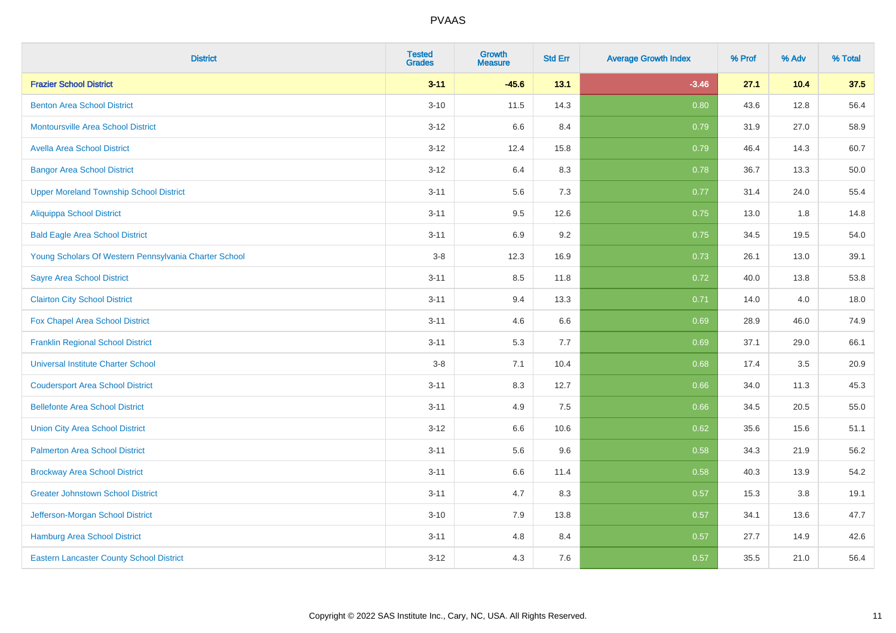| <b>District</b>                                       | <b>Tested</b><br><b>Grades</b> | Growth<br><b>Measure</b> | <b>Std Err</b> | <b>Average Growth Index</b> | % Prof | % Adv | % Total |
|-------------------------------------------------------|--------------------------------|--------------------------|----------------|-----------------------------|--------|-------|---------|
| <b>Frazier School District</b>                        | $3 - 11$                       | $-45.6$                  | 13.1           | $-3.46$                     | 27.1   | 10.4  | 37.5    |
| <b>Benton Area School District</b>                    | $3 - 10$                       | 11.5                     | 14.3           | 0.80                        | 43.6   | 12.8  | 56.4    |
| <b>Montoursville Area School District</b>             | $3 - 12$                       | 6.6                      | 8.4            | 0.79                        | 31.9   | 27.0  | 58.9    |
| <b>Avella Area School District</b>                    | $3 - 12$                       | 12.4                     | 15.8           | 0.79                        | 46.4   | 14.3  | 60.7    |
| <b>Bangor Area School District</b>                    | $3 - 12$                       | 6.4                      | 8.3            | 0.78                        | 36.7   | 13.3  | 50.0    |
| <b>Upper Moreland Township School District</b>        | $3 - 11$                       | 5.6                      | 7.3            | 0.77                        | 31.4   | 24.0  | 55.4    |
| <b>Aliquippa School District</b>                      | $3 - 11$                       | 9.5                      | 12.6           | 0.75                        | 13.0   | 1.8   | 14.8    |
| <b>Bald Eagle Area School District</b>                | $3 - 11$                       | 6.9                      | 9.2            | 0.75                        | 34.5   | 19.5  | 54.0    |
| Young Scholars Of Western Pennsylvania Charter School | $3 - 8$                        | 12.3                     | 16.9           | 0.73                        | 26.1   | 13.0  | 39.1    |
| <b>Sayre Area School District</b>                     | $3 - 11$                       | 8.5                      | 11.8           | 0.72                        | 40.0   | 13.8  | 53.8    |
| <b>Clairton City School District</b>                  | $3 - 11$                       | 9.4                      | 13.3           | 0.71                        | 14.0   | 4.0   | 18.0    |
| Fox Chapel Area School District                       | $3 - 11$                       | 4.6                      | 6.6            | 0.69                        | 28.9   | 46.0  | 74.9    |
| <b>Franklin Regional School District</b>              | $3 - 11$                       | 5.3                      | 7.7            | 0.69                        | 37.1   | 29.0  | 66.1    |
| <b>Universal Institute Charter School</b>             | $3-8$                          | 7.1                      | 10.4           | 0.68                        | 17.4   | 3.5   | 20.9    |
| <b>Coudersport Area School District</b>               | $3 - 11$                       | 8.3                      | 12.7           | 0.66                        | 34.0   | 11.3  | 45.3    |
| <b>Bellefonte Area School District</b>                | $3 - 11$                       | 4.9                      | 7.5            | 0.66                        | 34.5   | 20.5  | 55.0    |
| <b>Union City Area School District</b>                | $3 - 12$                       | 6.6                      | 10.6           | 0.62                        | 35.6   | 15.6  | 51.1    |
| <b>Palmerton Area School District</b>                 | $3 - 11$                       | 5.6                      | 9.6            | 0.58                        | 34.3   | 21.9  | 56.2    |
| <b>Brockway Area School District</b>                  | $3 - 11$                       | 6.6                      | 11.4           | 0.58                        | 40.3   | 13.9  | 54.2    |
| <b>Greater Johnstown School District</b>              | $3 - 11$                       | 4.7                      | 8.3            | 0.57                        | 15.3   | 3.8   | 19.1    |
| Jefferson-Morgan School District                      | $3 - 10$                       | 7.9                      | 13.8           | 0.57                        | 34.1   | 13.6  | 47.7    |
| <b>Hamburg Area School District</b>                   | $3 - 11$                       | 4.8                      | 8.4            | 0.57                        | 27.7   | 14.9  | 42.6    |
| <b>Eastern Lancaster County School District</b>       | $3 - 12$                       | 4.3                      | 7.6            | 0.57                        | 35.5   | 21.0  | 56.4    |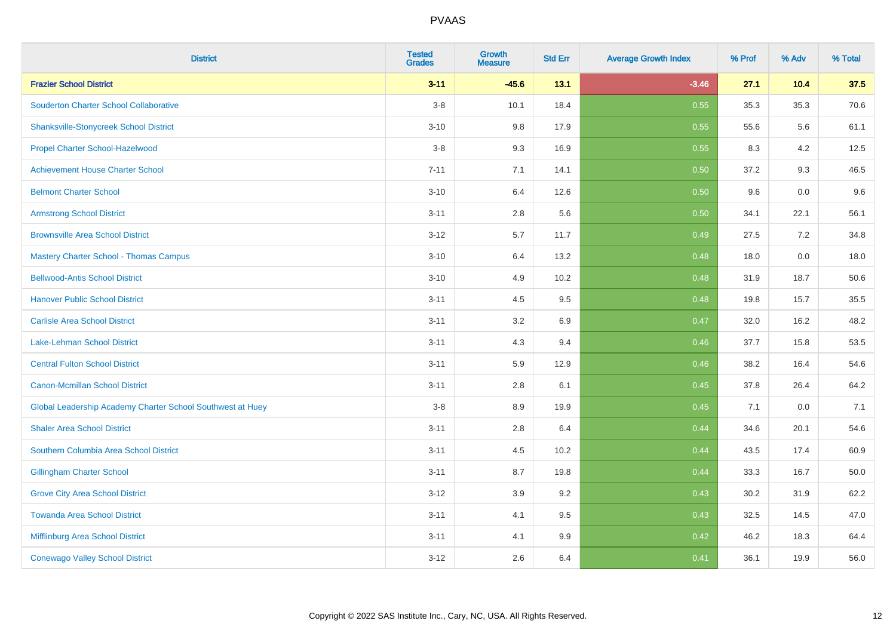| <b>District</b>                                            | <b>Tested</b><br><b>Grades</b> | <b>Growth</b><br><b>Measure</b> | <b>Std Err</b> | <b>Average Growth Index</b> | % Prof | % Adv | % Total |
|------------------------------------------------------------|--------------------------------|---------------------------------|----------------|-----------------------------|--------|-------|---------|
| <b>Frazier School District</b>                             | $3 - 11$                       | $-45.6$                         | 13.1           | $-3.46$                     | 27.1   | 10.4  | 37.5    |
| <b>Souderton Charter School Collaborative</b>              | $3-8$                          | 10.1                            | 18.4           | 0.55                        | 35.3   | 35.3  | 70.6    |
| <b>Shanksville-Stonycreek School District</b>              | $3 - 10$                       | 9.8                             | 17.9           | 0.55                        | 55.6   | 5.6   | 61.1    |
| Propel Charter School-Hazelwood                            | $3-8$                          | 9.3                             | 16.9           | 0.55                        | 8.3    | 4.2   | 12.5    |
| <b>Achievement House Charter School</b>                    | $7 - 11$                       | 7.1                             | 14.1           | 0.50                        | 37.2   | 9.3   | 46.5    |
| <b>Belmont Charter School</b>                              | $3 - 10$                       | 6.4                             | 12.6           | 0.50                        | 9.6    | 0.0   | 9.6     |
| <b>Armstrong School District</b>                           | $3 - 11$                       | $2.8\,$                         | 5.6            | 0.50                        | 34.1   | 22.1  | 56.1    |
| <b>Brownsville Area School District</b>                    | $3 - 12$                       | 5.7                             | 11.7           | 0.49                        | 27.5   | 7.2   | 34.8    |
| <b>Mastery Charter School - Thomas Campus</b>              | $3 - 10$                       | 6.4                             | 13.2           | 0.48                        | 18.0   | 0.0   | 18.0    |
| <b>Bellwood-Antis School District</b>                      | $3 - 10$                       | 4.9                             | 10.2           | 0.48                        | 31.9   | 18.7  | 50.6    |
| <b>Hanover Public School District</b>                      | $3 - 11$                       | 4.5                             | 9.5            | 0.48                        | 19.8   | 15.7  | 35.5    |
| <b>Carlisle Area School District</b>                       | $3 - 11$                       | 3.2                             | 6.9            | 0.47                        | 32.0   | 16.2  | 48.2    |
| Lake-Lehman School District                                | $3 - 11$                       | 4.3                             | 9.4            | 0.46                        | 37.7   | 15.8  | 53.5    |
| <b>Central Fulton School District</b>                      | $3 - 11$                       | 5.9                             | 12.9           | 0.46                        | 38.2   | 16.4  | 54.6    |
| <b>Canon-Mcmillan School District</b>                      | $3 - 11$                       | 2.8                             | 6.1            | 0.45                        | 37.8   | 26.4  | 64.2    |
| Global Leadership Academy Charter School Southwest at Huey | $3-8$                          | 8.9                             | 19.9           | 0.45                        | 7.1    | 0.0   | 7.1     |
| <b>Shaler Area School District</b>                         | $3 - 11$                       | 2.8                             | 6.4            | 0.44                        | 34.6   | 20.1  | 54.6    |
| Southern Columbia Area School District                     | $3 - 11$                       | 4.5                             | 10.2           | 0.44                        | 43.5   | 17.4  | 60.9    |
| <b>Gillingham Charter School</b>                           | $3 - 11$                       | 8.7                             | 19.8           | 0.44                        | 33.3   | 16.7  | 50.0    |
| <b>Grove City Area School District</b>                     | $3 - 12$                       | 3.9                             | 9.2            | 0.43                        | 30.2   | 31.9  | 62.2    |
| <b>Towanda Area School District</b>                        | $3 - 11$                       | 4.1                             | 9.5            | 0.43                        | 32.5   | 14.5  | 47.0    |
| <b>Mifflinburg Area School District</b>                    | $3 - 11$                       | 4.1                             | 9.9            | 0.42                        | 46.2   | 18.3  | 64.4    |
| <b>Conewago Valley School District</b>                     | $3 - 12$                       | 2.6                             | 6.4            | 0.41                        | 36.1   | 19.9  | 56.0    |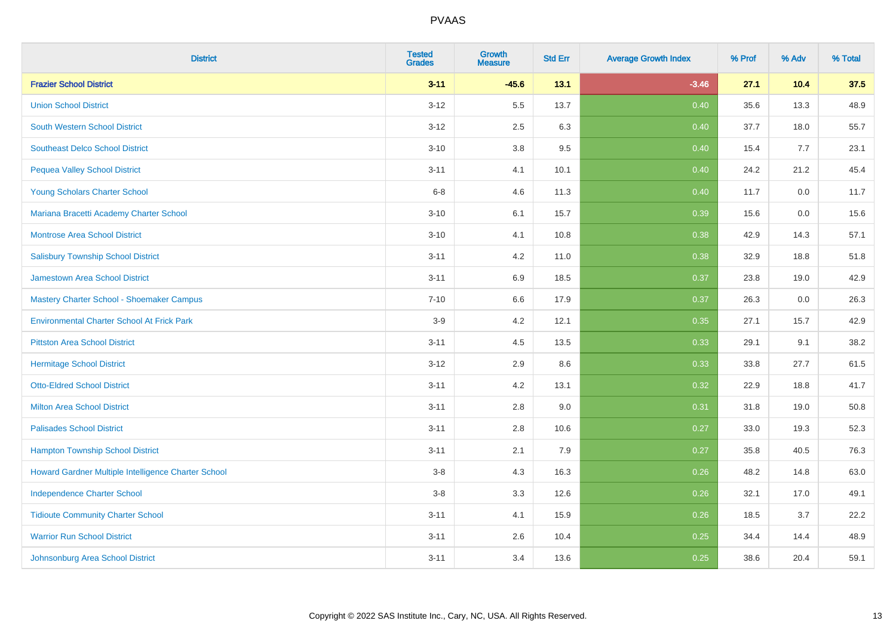| <b>District</b>                                     | <b>Tested</b><br><b>Grades</b> | <b>Growth</b><br><b>Measure</b> | <b>Std Err</b> | <b>Average Growth Index</b> | % Prof | % Adv | % Total |
|-----------------------------------------------------|--------------------------------|---------------------------------|----------------|-----------------------------|--------|-------|---------|
| <b>Frazier School District</b>                      | $3 - 11$                       | $-45.6$                         | 13.1           | $-3.46$                     | 27.1   | 10.4  | 37.5    |
| <b>Union School District</b>                        | $3 - 12$                       | 5.5                             | 13.7           | 0.40                        | 35.6   | 13.3  | 48.9    |
| <b>South Western School District</b>                | $3 - 12$                       | 2.5                             | 6.3            | 0.40                        | 37.7   | 18.0  | 55.7    |
| <b>Southeast Delco School District</b>              | $3 - 10$                       | $3.8\,$                         | 9.5            | 0.40                        | 15.4   | 7.7   | 23.1    |
| <b>Pequea Valley School District</b>                | $3 - 11$                       | 4.1                             | 10.1           | 0.40                        | 24.2   | 21.2  | 45.4    |
| Young Scholars Charter School                       | $6 - 8$                        | 4.6                             | 11.3           | 0.40                        | 11.7   | 0.0   | 11.7    |
| Mariana Bracetti Academy Charter School             | $3 - 10$                       | 6.1                             | 15.7           | 0.39                        | 15.6   | 0.0   | 15.6    |
| <b>Montrose Area School District</b>                | $3 - 10$                       | 4.1                             | 10.8           | 0.38                        | 42.9   | 14.3  | 57.1    |
| <b>Salisbury Township School District</b>           | $3 - 11$                       | 4.2                             | 11.0           | 0.38                        | 32.9   | 18.8  | 51.8    |
| <b>Jamestown Area School District</b>               | $3 - 11$                       | 6.9                             | 18.5           | 0.37                        | 23.8   | 19.0  | 42.9    |
| Mastery Charter School - Shoemaker Campus           | $7 - 10$                       | 6.6                             | 17.9           | 0.37                        | 26.3   | 0.0   | 26.3    |
| <b>Environmental Charter School At Frick Park</b>   | $3-9$                          | 4.2                             | 12.1           | 0.35                        | 27.1   | 15.7  | 42.9    |
| <b>Pittston Area School District</b>                | $3 - 11$                       | 4.5                             | 13.5           | 0.33                        | 29.1   | 9.1   | 38.2    |
| <b>Hermitage School District</b>                    | $3 - 12$                       | 2.9                             | 8.6            | 0.33                        | 33.8   | 27.7  | 61.5    |
| <b>Otto-Eldred School District</b>                  | $3 - 11$                       | 4.2                             | 13.1           | 0.32                        | 22.9   | 18.8  | 41.7    |
| <b>Milton Area School District</b>                  | $3 - 11$                       | 2.8                             | 9.0            | 0.31                        | 31.8   | 19.0  | 50.8    |
| <b>Palisades School District</b>                    | $3 - 11$                       | 2.8                             | 10.6           | 0.27                        | 33.0   | 19.3  | 52.3    |
| <b>Hampton Township School District</b>             | $3 - 11$                       | 2.1                             | 7.9            | 0.27                        | 35.8   | 40.5  | 76.3    |
| Howard Gardner Multiple Intelligence Charter School | $3-8$                          | 4.3                             | 16.3           | 0.26                        | 48.2   | 14.8  | 63.0    |
| <b>Independence Charter School</b>                  | $3-8$                          | 3.3                             | 12.6           | 0.26                        | 32.1   | 17.0  | 49.1    |
| <b>Tidioute Community Charter School</b>            | $3 - 11$                       | 4.1                             | 15.9           | 0.26                        | 18.5   | 3.7   | 22.2    |
| <b>Warrior Run School District</b>                  | $3 - 11$                       | 2.6                             | 10.4           | 0.25                        | 34.4   | 14.4  | 48.9    |
| Johnsonburg Area School District                    | $3 - 11$                       | 3.4                             | 13.6           | 0.25                        | 38.6   | 20.4  | 59.1    |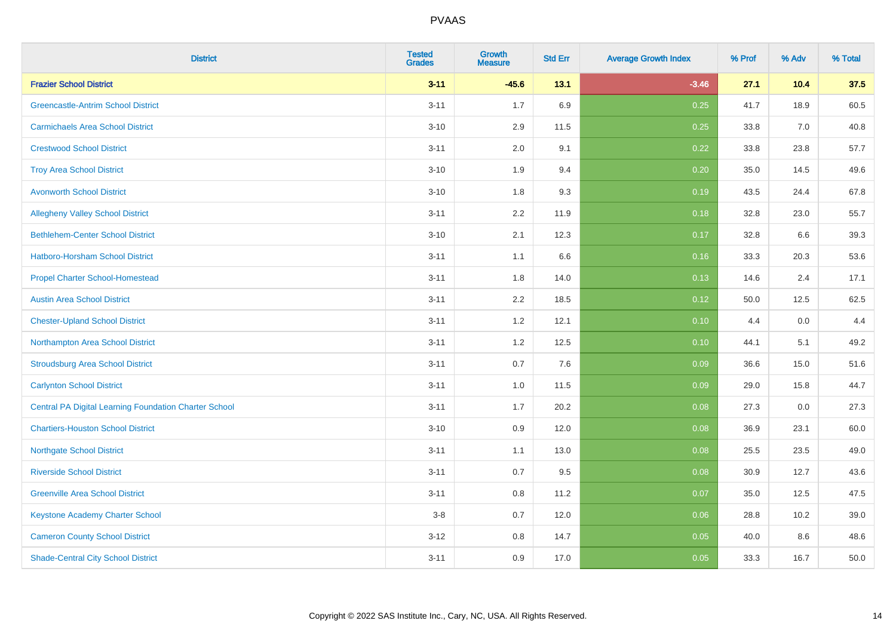| <b>District</b>                                              | <b>Tested</b><br><b>Grades</b> | Growth<br><b>Measure</b> | <b>Std Err</b> | <b>Average Growth Index</b> | % Prof | % Adv | % Total |
|--------------------------------------------------------------|--------------------------------|--------------------------|----------------|-----------------------------|--------|-------|---------|
| <b>Frazier School District</b>                               | $3 - 11$                       | $-45.6$                  | 13.1           | $-3.46$                     | 27.1   | 10.4  | 37.5    |
| <b>Greencastle-Antrim School District</b>                    | $3 - 11$                       | 1.7                      | 6.9            | 0.25                        | 41.7   | 18.9  | 60.5    |
| <b>Carmichaels Area School District</b>                      | $3 - 10$                       | 2.9                      | 11.5           | 0.25                        | 33.8   | 7.0   | 40.8    |
| <b>Crestwood School District</b>                             | $3 - 11$                       | 2.0                      | 9.1            | 0.22                        | 33.8   | 23.8  | 57.7    |
| <b>Troy Area School District</b>                             | $3 - 10$                       | 1.9                      | 9.4            | 0.20                        | 35.0   | 14.5  | 49.6    |
| <b>Avonworth School District</b>                             | $3 - 10$                       | 1.8                      | 9.3            | 0.19                        | 43.5   | 24.4  | 67.8    |
| <b>Allegheny Valley School District</b>                      | $3 - 11$                       | 2.2                      | 11.9           | 0.18                        | 32.8   | 23.0  | 55.7    |
| <b>Bethlehem-Center School District</b>                      | $3 - 10$                       | 2.1                      | 12.3           | 0.17                        | 32.8   | 6.6   | 39.3    |
| <b>Hatboro-Horsham School District</b>                       | $3 - 11$                       | 1.1                      | 6.6            | 0.16                        | 33.3   | 20.3  | 53.6    |
| <b>Propel Charter School-Homestead</b>                       | $3 - 11$                       | 1.8                      | 14.0           | 0.13                        | 14.6   | 2.4   | 17.1    |
| <b>Austin Area School District</b>                           | $3 - 11$                       | 2.2                      | 18.5           | 0.12                        | 50.0   | 12.5  | 62.5    |
| <b>Chester-Upland School District</b>                        | $3 - 11$                       | 1.2                      | 12.1           | 0.10                        | 4.4    | 0.0   | 4.4     |
| Northampton Area School District                             | $3 - 11$                       | $1.2$                    | 12.5           | 0.10                        | 44.1   | 5.1   | 49.2    |
| <b>Stroudsburg Area School District</b>                      | $3 - 11$                       | 0.7                      | 7.6            | 0.09                        | 36.6   | 15.0  | 51.6    |
| <b>Carlynton School District</b>                             | $3 - 11$                       | 1.0                      | 11.5           | 0.09                        | 29.0   | 15.8  | 44.7    |
| <b>Central PA Digital Learning Foundation Charter School</b> | $3 - 11$                       | 1.7                      | 20.2           | 0.08                        | 27.3   | 0.0   | 27.3    |
| <b>Chartiers-Houston School District</b>                     | $3 - 10$                       | 0.9                      | 12.0           | 0.08                        | 36.9   | 23.1  | 60.0    |
| <b>Northgate School District</b>                             | $3 - 11$                       | 1.1                      | 13.0           | 0.08                        | 25.5   | 23.5  | 49.0    |
| <b>Riverside School District</b>                             | $3 - 11$                       | 0.7                      | 9.5            | 0.08                        | 30.9   | 12.7  | 43.6    |
| <b>Greenville Area School District</b>                       | $3 - 11$                       | 0.8                      | 11.2           | 0.07                        | 35.0   | 12.5  | 47.5    |
| <b>Keystone Academy Charter School</b>                       | $3-8$                          | 0.7                      | 12.0           | 0.06                        | 28.8   | 10.2  | 39.0    |
| <b>Cameron County School District</b>                        | $3 - 12$                       | 0.8                      | 14.7           | 0.05                        | 40.0   | 8.6   | 48.6    |
| <b>Shade-Central City School District</b>                    | $3 - 11$                       | 0.9                      | 17.0           | 0.05                        | 33.3   | 16.7  | 50.0    |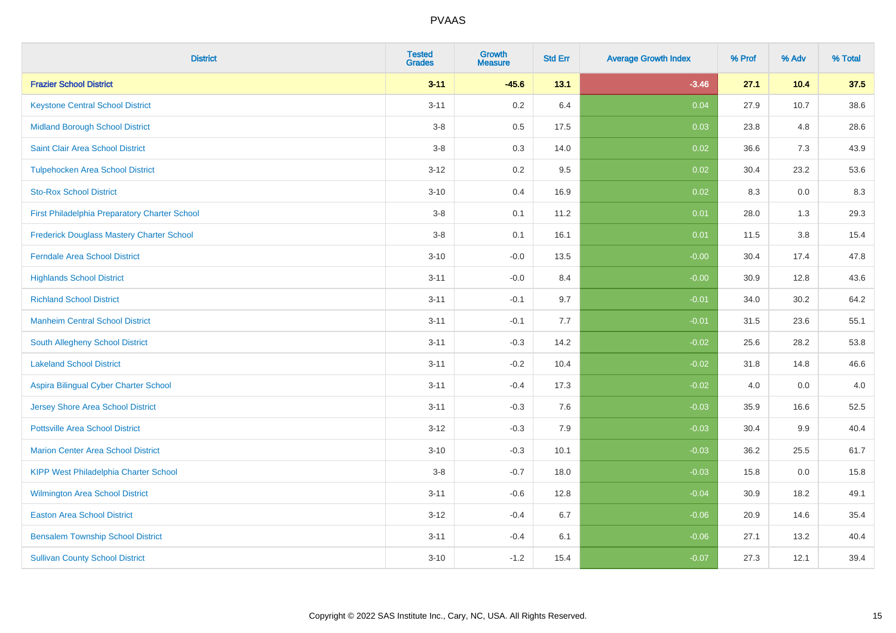| <b>District</b>                                  | <b>Tested</b><br><b>Grades</b> | <b>Growth</b><br><b>Measure</b> | <b>Std Err</b> | <b>Average Growth Index</b> | % Prof | % Adv | % Total |
|--------------------------------------------------|--------------------------------|---------------------------------|----------------|-----------------------------|--------|-------|---------|
| <b>Frazier School District</b>                   | $3 - 11$                       | $-45.6$                         | 13.1           | $-3.46$                     | 27.1   | 10.4  | 37.5    |
| <b>Keystone Central School District</b>          | $3 - 11$                       | 0.2                             | 6.4            | 0.04                        | 27.9   | 10.7  | 38.6    |
| <b>Midland Borough School District</b>           | $3-8$                          | $0.5\,$                         | 17.5           | 0.03                        | 23.8   | 4.8   | 28.6    |
| Saint Clair Area School District                 | $3-8$                          | $0.3\,$                         | 14.0           | 0.02                        | 36.6   | 7.3   | 43.9    |
| <b>Tulpehocken Area School District</b>          | $3 - 12$                       | $0.2\,$                         | 9.5            | 0.02                        | 30.4   | 23.2  | 53.6    |
| <b>Sto-Rox School District</b>                   | $3 - 10$                       | 0.4                             | 16.9           | 0.02                        | 8.3    | 0.0   | 8.3     |
| First Philadelphia Preparatory Charter School    | $3-8$                          | 0.1                             | 11.2           | 0.01                        | 28.0   | 1.3   | 29.3    |
| <b>Frederick Douglass Mastery Charter School</b> | $3-8$                          | 0.1                             | 16.1           | 0.01                        | 11.5   | 3.8   | 15.4    |
| <b>Ferndale Area School District</b>             | $3 - 10$                       | $-0.0$                          | 13.5           | $-0.00$                     | 30.4   | 17.4  | 47.8    |
| <b>Highlands School District</b>                 | $3 - 11$                       | $-0.0$                          | 8.4            | $-0.00$                     | 30.9   | 12.8  | 43.6    |
| <b>Richland School District</b>                  | $3 - 11$                       | $-0.1$                          | 9.7            | $-0.01$                     | 34.0   | 30.2  | 64.2    |
| <b>Manheim Central School District</b>           | $3 - 11$                       | $-0.1$                          | 7.7            | $-0.01$                     | 31.5   | 23.6  | 55.1    |
| South Allegheny School District                  | $3 - 11$                       | $-0.3$                          | 14.2           | $-0.02$                     | 25.6   | 28.2  | 53.8    |
| <b>Lakeland School District</b>                  | $3 - 11$                       | $-0.2$                          | 10.4           | $-0.02$                     | 31.8   | 14.8  | 46.6    |
| Aspira Bilingual Cyber Charter School            | $3 - 11$                       | $-0.4$                          | 17.3           | $-0.02$                     | 4.0    | 0.0   | 4.0     |
| <b>Jersey Shore Area School District</b>         | $3 - 11$                       | $-0.3$                          | 7.6            | $-0.03$                     | 35.9   | 16.6  | 52.5    |
| <b>Pottsville Area School District</b>           | $3 - 12$                       | $-0.3$                          | 7.9            | $-0.03$                     | 30.4   | 9.9   | 40.4    |
| <b>Marion Center Area School District</b>        | $3 - 10$                       | $-0.3$                          | 10.1           | $-0.03$                     | 36.2   | 25.5  | 61.7    |
| KIPP West Philadelphia Charter School            | $3-8$                          | $-0.7$                          | 18.0           | $-0.03$                     | 15.8   | 0.0   | 15.8    |
| Wilmington Area School District                  | $3 - 11$                       | $-0.6$                          | 12.8           | $-0.04$                     | 30.9   | 18.2  | 49.1    |
| <b>Easton Area School District</b>               | $3 - 12$                       | $-0.4$                          | 6.7            | $-0.06$                     | 20.9   | 14.6  | 35.4    |
| <b>Bensalem Township School District</b>         | $3 - 11$                       | $-0.4$                          | 6.1            | $-0.06$                     | 27.1   | 13.2  | 40.4    |
| <b>Sullivan County School District</b>           | $3 - 10$                       | $-1.2$                          | 15.4           | $-0.07$                     | 27.3   | 12.1  | 39.4    |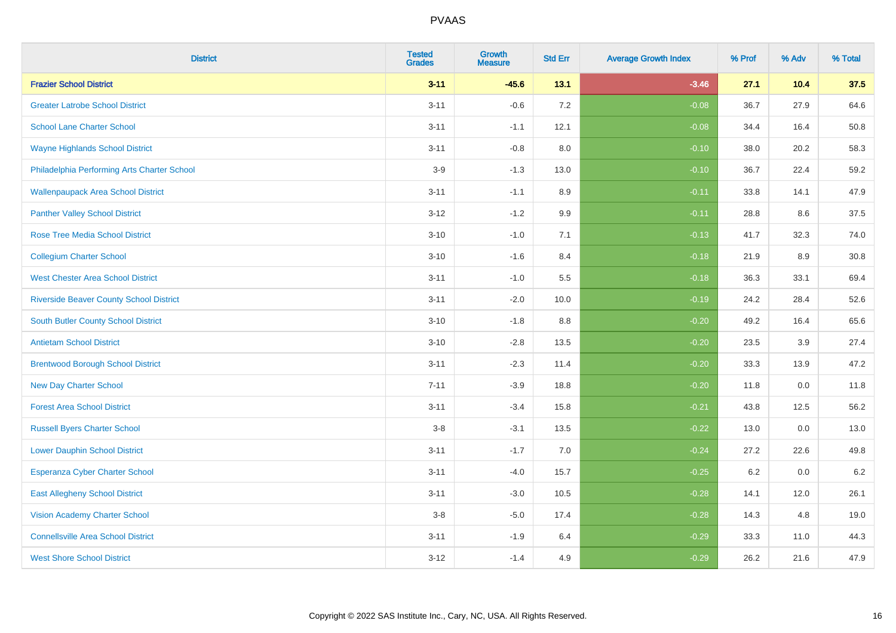| <b>District</b>                                | <b>Tested</b><br><b>Grades</b> | Growth<br><b>Measure</b> | <b>Std Err</b> | <b>Average Growth Index</b> | % Prof | % Adv | % Total |
|------------------------------------------------|--------------------------------|--------------------------|----------------|-----------------------------|--------|-------|---------|
| <b>Frazier School District</b>                 | $3 - 11$                       | $-45.6$                  | 13.1           | $-3.46$                     | 27.1   | 10.4  | 37.5    |
| <b>Greater Latrobe School District</b>         | $3 - 11$                       | $-0.6$                   | 7.2            | $-0.08$                     | 36.7   | 27.9  | 64.6    |
| <b>School Lane Charter School</b>              | $3 - 11$                       | $-1.1$                   | 12.1           | $-0.08$                     | 34.4   | 16.4  | 50.8    |
| <b>Wayne Highlands School District</b>         | $3 - 11$                       | $-0.8$                   | 8.0            | $-0.10$                     | 38.0   | 20.2  | 58.3    |
| Philadelphia Performing Arts Charter School    | $3-9$                          | $-1.3$                   | 13.0           | $-0.10$                     | 36.7   | 22.4  | 59.2    |
| <b>Wallenpaupack Area School District</b>      | $3 - 11$                       | $-1.1$                   | 8.9            | $-0.11$                     | 33.8   | 14.1  | 47.9    |
| <b>Panther Valley School District</b>          | $3 - 12$                       | $-1.2$                   | 9.9            | $-0.11$                     | 28.8   | 8.6   | 37.5    |
| <b>Rose Tree Media School District</b>         | $3 - 10$                       | $-1.0$                   | 7.1            | $-0.13$                     | 41.7   | 32.3  | 74.0    |
| <b>Collegium Charter School</b>                | $3 - 10$                       | $-1.6$                   | 8.4            | $-0.18$                     | 21.9   | 8.9   | 30.8    |
| <b>West Chester Area School District</b>       | $3 - 11$                       | $-1.0$                   | 5.5            | $-0.18$                     | 36.3   | 33.1  | 69.4    |
| <b>Riverside Beaver County School District</b> | $3 - 11$                       | $-2.0$                   | 10.0           | $-0.19$                     | 24.2   | 28.4  | 52.6    |
| <b>South Butler County School District</b>     | $3 - 10$                       | $-1.8$                   | 8.8            | $-0.20$                     | 49.2   | 16.4  | 65.6    |
| <b>Antietam School District</b>                | $3 - 10$                       | $-2.8$                   | 13.5           | $-0.20$                     | 23.5   | 3.9   | 27.4    |
| <b>Brentwood Borough School District</b>       | $3 - 11$                       | $-2.3$                   | 11.4           | $-0.20$                     | 33.3   | 13.9  | 47.2    |
| <b>New Day Charter School</b>                  | $7 - 11$                       | $-3.9$                   | 18.8           | $-0.20$                     | 11.8   | 0.0   | 11.8    |
| <b>Forest Area School District</b>             | $3 - 11$                       | $-3.4$                   | 15.8           | $-0.21$                     | 43.8   | 12.5  | 56.2    |
| <b>Russell Byers Charter School</b>            | $3-8$                          | $-3.1$                   | 13.5           | $-0.22$                     | 13.0   | 0.0   | 13.0    |
| <b>Lower Dauphin School District</b>           | $3 - 11$                       | $-1.7$                   | 7.0            | $-0.24$                     | 27.2   | 22.6  | 49.8    |
| <b>Esperanza Cyber Charter School</b>          | $3 - 11$                       | $-4.0$                   | 15.7           | $-0.25$                     | 6.2    | 0.0   | $6.2\,$ |
| <b>East Allegheny School District</b>          | $3 - 11$                       | $-3.0$                   | 10.5           | $-0.28$                     | 14.1   | 12.0  | 26.1    |
| <b>Vision Academy Charter School</b>           | $3-8$                          | $-5.0$                   | 17.4           | $-0.28$                     | 14.3   | 4.8   | 19.0    |
| <b>Connellsville Area School District</b>      | $3 - 11$                       | $-1.9$                   | 6.4            | $-0.29$                     | 33.3   | 11.0  | 44.3    |
| <b>West Shore School District</b>              | $3 - 12$                       | $-1.4$                   | 4.9            | $-0.29$                     | 26.2   | 21.6  | 47.9    |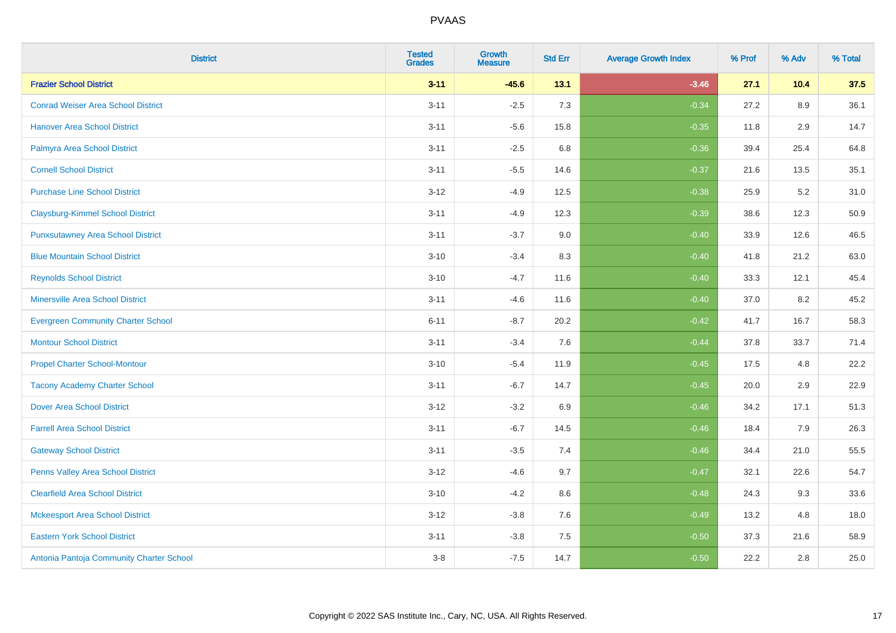| <b>District</b>                           | <b>Tested</b><br><b>Grades</b> | <b>Growth</b><br><b>Measure</b> | <b>Std Err</b> | <b>Average Growth Index</b> | % Prof | % Adv | % Total |
|-------------------------------------------|--------------------------------|---------------------------------|----------------|-----------------------------|--------|-------|---------|
| <b>Frazier School District</b>            | $3 - 11$                       | $-45.6$                         | 13.1           | $-3.46$                     | 27.1   | 10.4  | 37.5    |
| <b>Conrad Weiser Area School District</b> | $3 - 11$                       | $-2.5$                          | 7.3            | $-0.34$                     | 27.2   | 8.9   | 36.1    |
| <b>Hanover Area School District</b>       | $3 - 11$                       | $-5.6$                          | 15.8           | $-0.35$                     | 11.8   | 2.9   | 14.7    |
| Palmyra Area School District              | $3 - 11$                       | $-2.5$                          | 6.8            | $-0.36$                     | 39.4   | 25.4  | 64.8    |
| <b>Cornell School District</b>            | $3 - 11$                       | $-5.5$                          | 14.6           | $-0.37$                     | 21.6   | 13.5  | 35.1    |
| <b>Purchase Line School District</b>      | $3 - 12$                       | $-4.9$                          | 12.5           | $-0.38$                     | 25.9   | 5.2   | 31.0    |
| <b>Claysburg-Kimmel School District</b>   | $3 - 11$                       | $-4.9$                          | 12.3           | $-0.39$                     | 38.6   | 12.3  | 50.9    |
| <b>Punxsutawney Area School District</b>  | $3 - 11$                       | $-3.7$                          | 9.0            | $-0.40$                     | 33.9   | 12.6  | 46.5    |
| <b>Blue Mountain School District</b>      | $3 - 10$                       | $-3.4$                          | 8.3            | $-0.40$                     | 41.8   | 21.2  | 63.0    |
| <b>Reynolds School District</b>           | $3 - 10$                       | $-4.7$                          | 11.6           | $-0.40$                     | 33.3   | 12.1  | 45.4    |
| <b>Minersville Area School District</b>   | $3 - 11$                       | $-4.6$                          | 11.6           | $-0.40$                     | 37.0   | 8.2   | 45.2    |
| <b>Evergreen Community Charter School</b> | $6 - 11$                       | $-8.7$                          | 20.2           | $-0.42$                     | 41.7   | 16.7  | 58.3    |
| <b>Montour School District</b>            | $3 - 11$                       | $-3.4$                          | 7.6            | $-0.44$                     | 37.8   | 33.7  | 71.4    |
| <b>Propel Charter School-Montour</b>      | $3 - 10$                       | $-5.4$                          | 11.9           | $-0.45$                     | 17.5   | 4.8   | 22.2    |
| <b>Tacony Academy Charter School</b>      | $3 - 11$                       | $-6.7$                          | 14.7           | $-0.45$                     | 20.0   | 2.9   | 22.9    |
| <b>Dover Area School District</b>         | $3 - 12$                       | $-3.2$                          | 6.9            | $-0.46$                     | 34.2   | 17.1  | 51.3    |
| <b>Farrell Area School District</b>       | $3 - 11$                       | $-6.7$                          | 14.5           | $-0.46$                     | 18.4   | 7.9   | 26.3    |
| <b>Gateway School District</b>            | $3 - 11$                       | $-3.5$                          | 7.4            | $-0.46$                     | 34.4   | 21.0  | 55.5    |
| Penns Valley Area School District         | $3 - 12$                       | $-4.6$                          | 9.7            | $-0.47$                     | 32.1   | 22.6  | 54.7    |
| <b>Clearfield Area School District</b>    | $3 - 10$                       | $-4.2$                          | 8.6            | $-0.48$                     | 24.3   | 9.3   | 33.6    |
| <b>Mckeesport Area School District</b>    | $3 - 12$                       | $-3.8$                          | 7.6            | $-0.49$                     | 13.2   | 4.8   | 18.0    |
| <b>Eastern York School District</b>       | $3 - 11$                       | $-3.8$                          | 7.5            | $-0.50$                     | 37.3   | 21.6  | 58.9    |
| Antonia Pantoja Community Charter School  | $3-8$                          | $-7.5$                          | 14.7           | $-0.50$                     | 22.2   | 2.8   | 25.0    |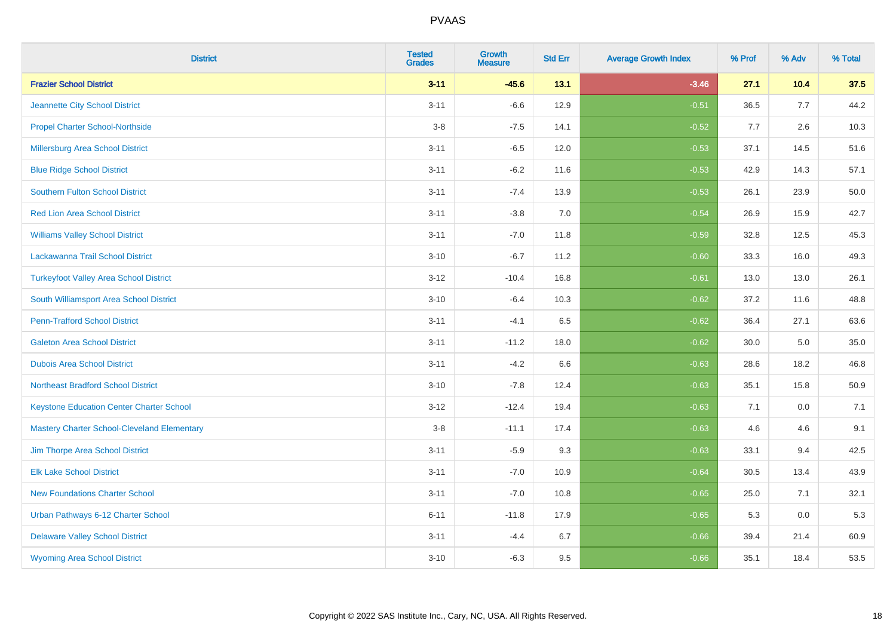| <b>District</b>                                    | <b>Tested</b><br><b>Grades</b> | Growth<br><b>Measure</b> | <b>Std Err</b> | <b>Average Growth Index</b> | % Prof | % Adv | % Total |
|----------------------------------------------------|--------------------------------|--------------------------|----------------|-----------------------------|--------|-------|---------|
| <b>Frazier School District</b>                     | $3 - 11$                       | $-45.6$                  | 13.1           | $-3.46$                     | 27.1   | 10.4  | 37.5    |
| Jeannette City School District                     | $3 - 11$                       | $-6.6$                   | 12.9           | $-0.51$                     | 36.5   | 7.7   | 44.2    |
| <b>Propel Charter School-Northside</b>             | $3-8$                          | $-7.5$                   | 14.1           | $-0.52$                     | 7.7    | 2.6   | 10.3    |
| Millersburg Area School District                   | $3 - 11$                       | $-6.5$                   | 12.0           | $-0.53$                     | 37.1   | 14.5  | 51.6    |
| <b>Blue Ridge School District</b>                  | $3 - 11$                       | $-6.2$                   | 11.6           | $-0.53$                     | 42.9   | 14.3  | 57.1    |
| Southern Fulton School District                    | $3 - 11$                       | $-7.4$                   | 13.9           | $-0.53$                     | 26.1   | 23.9  | 50.0    |
| <b>Red Lion Area School District</b>               | $3 - 11$                       | $-3.8$                   | 7.0            | $-0.54$                     | 26.9   | 15.9  | 42.7    |
| <b>Williams Valley School District</b>             | $3 - 11$                       | $-7.0$                   | 11.8           | $-0.59$                     | 32.8   | 12.5  | 45.3    |
| Lackawanna Trail School District                   | $3 - 10$                       | $-6.7$                   | 11.2           | $-0.60$                     | 33.3   | 16.0  | 49.3    |
| <b>Turkeyfoot Valley Area School District</b>      | $3 - 12$                       | $-10.4$                  | 16.8           | $-0.61$                     | 13.0   | 13.0  | 26.1    |
| South Williamsport Area School District            | $3 - 10$                       | $-6.4$                   | 10.3           | $-0.62$                     | 37.2   | 11.6  | 48.8    |
| <b>Penn-Trafford School District</b>               | $3 - 11$                       | $-4.1$                   | 6.5            | $-0.62$                     | 36.4   | 27.1  | 63.6    |
| <b>Galeton Area School District</b>                | $3 - 11$                       | $-11.2$                  | 18.0           | $-0.62$                     | 30.0   | 5.0   | 35.0    |
| <b>Dubois Area School District</b>                 | $3 - 11$                       | $-4.2$                   | 6.6            | $-0.63$                     | 28.6   | 18.2  | 46.8    |
| <b>Northeast Bradford School District</b>          | $3 - 10$                       | $-7.8$                   | 12.4           | $-0.63$                     | 35.1   | 15.8  | 50.9    |
| <b>Keystone Education Center Charter School</b>    | $3 - 12$                       | $-12.4$                  | 19.4           | $-0.63$                     | 7.1    | 0.0   | 7.1     |
| <b>Mastery Charter School-Cleveland Elementary</b> | $3-8$                          | $-11.1$                  | 17.4           | $-0.63$                     | 4.6    | 4.6   | 9.1     |
| Jim Thorpe Area School District                    | $3 - 11$                       | $-5.9$                   | 9.3            | $-0.63$                     | 33.1   | 9.4   | 42.5    |
| <b>Elk Lake School District</b>                    | $3 - 11$                       | $-7.0$                   | 10.9           | $-0.64$                     | 30.5   | 13.4  | 43.9    |
| <b>New Foundations Charter School</b>              | $3 - 11$                       | $-7.0$                   | 10.8           | $-0.65$                     | 25.0   | 7.1   | 32.1    |
| Urban Pathways 6-12 Charter School                 | $6 - 11$                       | $-11.8$                  | 17.9           | $-0.65$                     | 5.3    | 0.0   | 5.3     |
| <b>Delaware Valley School District</b>             | $3 - 11$                       | $-4.4$                   | 6.7            | $-0.66$                     | 39.4   | 21.4  | 60.9    |
| <b>Wyoming Area School District</b>                | $3 - 10$                       | $-6.3$                   | 9.5            | $-0.66$                     | 35.1   | 18.4  | 53.5    |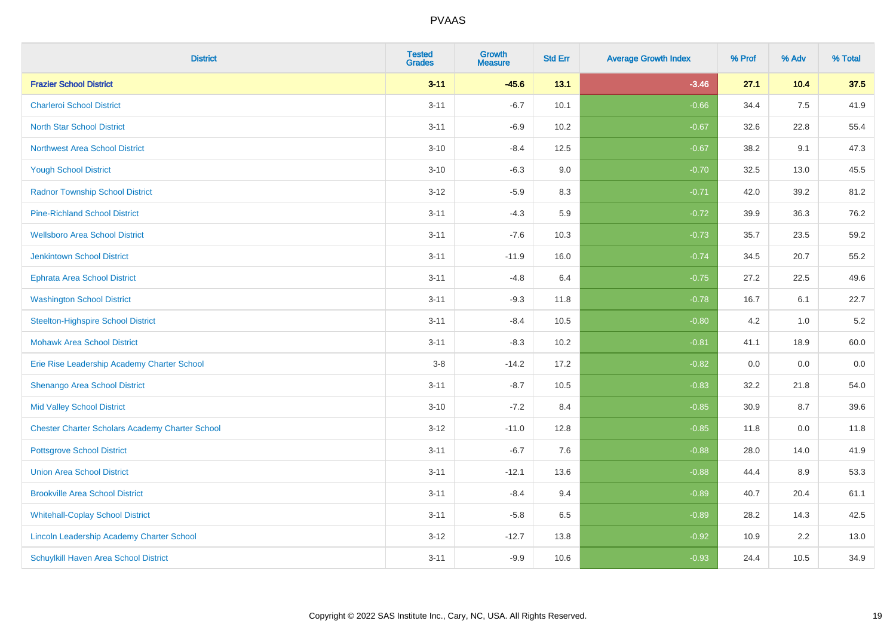| <b>District</b>                                        | <b>Tested</b><br><b>Grades</b> | <b>Growth</b><br><b>Measure</b> | <b>Std Err</b> | <b>Average Growth Index</b> | % Prof | % Adv | % Total |
|--------------------------------------------------------|--------------------------------|---------------------------------|----------------|-----------------------------|--------|-------|---------|
| <b>Frazier School District</b>                         | $3 - 11$                       | $-45.6$                         | 13.1           | $-3.46$                     | 27.1   | 10.4  | 37.5    |
| <b>Charleroi School District</b>                       | $3 - 11$                       | $-6.7$                          | 10.1           | $-0.66$                     | 34.4   | 7.5   | 41.9    |
| <b>North Star School District</b>                      | $3 - 11$                       | $-6.9$                          | 10.2           | $-0.67$                     | 32.6   | 22.8  | 55.4    |
| <b>Northwest Area School District</b>                  | $3 - 10$                       | $-8.4$                          | 12.5           | $-0.67$                     | 38.2   | 9.1   | 47.3    |
| <b>Yough School District</b>                           | $3 - 10$                       | $-6.3$                          | 9.0            | $-0.70$                     | 32.5   | 13.0  | 45.5    |
| <b>Radnor Township School District</b>                 | $3 - 12$                       | $-5.9$                          | 8.3            | $-0.71$                     | 42.0   | 39.2  | 81.2    |
| <b>Pine-Richland School District</b>                   | $3 - 11$                       | $-4.3$                          | 5.9            | $-0.72$                     | 39.9   | 36.3  | 76.2    |
| <b>Wellsboro Area School District</b>                  | $3 - 11$                       | $-7.6$                          | 10.3           | $-0.73$                     | 35.7   | 23.5  | 59.2    |
| <b>Jenkintown School District</b>                      | $3 - 11$                       | $-11.9$                         | 16.0           | $-0.74$                     | 34.5   | 20.7  | 55.2    |
| <b>Ephrata Area School District</b>                    | $3 - 11$                       | $-4.8$                          | 6.4            | $-0.75$                     | 27.2   | 22.5  | 49.6    |
| <b>Washington School District</b>                      | $3 - 11$                       | $-9.3$                          | 11.8           | $-0.78$                     | 16.7   | 6.1   | 22.7    |
| <b>Steelton-Highspire School District</b>              | $3 - 11$                       | $-8.4$                          | 10.5           | $-0.80$                     | 4.2    | 1.0   | $5.2\,$ |
| <b>Mohawk Area School District</b>                     | $3 - 11$                       | $-8.3$                          | 10.2           | $-0.81$                     | 41.1   | 18.9  | 60.0    |
| Erie Rise Leadership Academy Charter School            | $3-8$                          | $-14.2$                         | 17.2           | $-0.82$                     | 0.0    | 0.0   | 0.0     |
| Shenango Area School District                          | $3 - 11$                       | $-8.7$                          | 10.5           | $-0.83$                     | 32.2   | 21.8  | 54.0    |
| <b>Mid Valley School District</b>                      | $3 - 10$                       | $-7.2$                          | 8.4            | $-0.85$                     | 30.9   | 8.7   | 39.6    |
| <b>Chester Charter Scholars Academy Charter School</b> | $3 - 12$                       | $-11.0$                         | 12.8           | $-0.85$                     | 11.8   | 0.0   | 11.8    |
| <b>Pottsgrove School District</b>                      | $3 - 11$                       | $-6.7$                          | 7.6            | $-0.88$                     | 28.0   | 14.0  | 41.9    |
| <b>Union Area School District</b>                      | $3 - 11$                       | $-12.1$                         | 13.6           | $-0.88$                     | 44.4   | 8.9   | 53.3    |
| <b>Brookville Area School District</b>                 | $3 - 11$                       | $-8.4$                          | 9.4            | $-0.89$                     | 40.7   | 20.4  | 61.1    |
| <b>Whitehall-Coplay School District</b>                | $3 - 11$                       | $-5.8$                          | 6.5            | $-0.89$                     | 28.2   | 14.3  | 42.5    |
| Lincoln Leadership Academy Charter School              | $3 - 12$                       | $-12.7$                         | 13.8           | $-0.92$                     | 10.9   | 2.2   | 13.0    |
| Schuylkill Haven Area School District                  | $3 - 11$                       | $-9.9$                          | 10.6           | $-0.93$                     | 24.4   | 10.5  | 34.9    |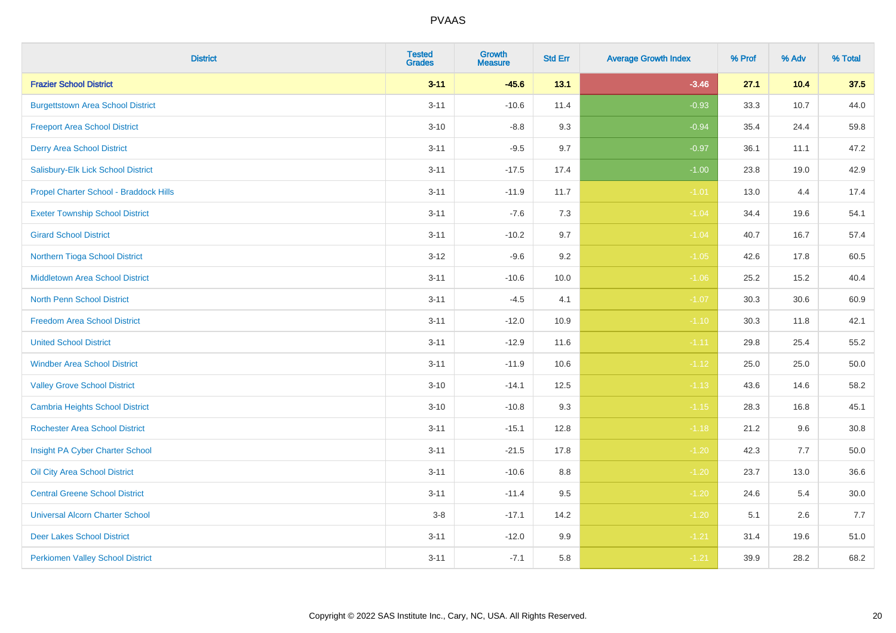| <b>District</b>                          | <b>Tested</b><br><b>Grades</b> | Growth<br><b>Measure</b> | <b>Std Err</b> | <b>Average Growth Index</b> | % Prof | % Adv | % Total  |
|------------------------------------------|--------------------------------|--------------------------|----------------|-----------------------------|--------|-------|----------|
| <b>Frazier School District</b>           | $3 - 11$                       | $-45.6$                  | 13.1           | $-3.46$                     | 27.1   | 10.4  | 37.5     |
| <b>Burgettstown Area School District</b> | $3 - 11$                       | $-10.6$                  | 11.4           | $-0.93$                     | 33.3   | 10.7  | 44.0     |
| <b>Freeport Area School District</b>     | $3 - 10$                       | $-8.8$                   | 9.3            | $-0.94$                     | 35.4   | 24.4  | 59.8     |
| <b>Derry Area School District</b>        | $3 - 11$                       | $-9.5$                   | 9.7            | $-0.97$                     | 36.1   | 11.1  | 47.2     |
| Salisbury-Elk Lick School District       | $3 - 11$                       | $-17.5$                  | 17.4           | $-1.00$                     | 23.8   | 19.0  | 42.9     |
| Propel Charter School - Braddock Hills   | $3 - 11$                       | $-11.9$                  | 11.7           | $-1.01$                     | 13.0   | 4.4   | 17.4     |
| <b>Exeter Township School District</b>   | $3 - 11$                       | $-7.6$                   | 7.3            | $-1.04$                     | 34.4   | 19.6  | 54.1     |
| <b>Girard School District</b>            | $3 - 11$                       | $-10.2$                  | 9.7            | $-1.04$                     | 40.7   | 16.7  | 57.4     |
| Northern Tioga School District           | $3 - 12$                       | $-9.6$                   | 9.2            | $-1.05$                     | 42.6   | 17.8  | 60.5     |
| <b>Middletown Area School District</b>   | $3 - 11$                       | $-10.6$                  | 10.0           | $-1.06$                     | 25.2   | 15.2  | 40.4     |
| North Penn School District               | $3 - 11$                       | $-4.5$                   | 4.1            | $-1.07$                     | 30.3   | 30.6  | 60.9     |
| <b>Freedom Area School District</b>      | $3 - 11$                       | $-12.0$                  | 10.9           | $-1.10$                     | 30.3   | 11.8  | 42.1     |
| <b>United School District</b>            | $3 - 11$                       | $-12.9$                  | 11.6           | $-1.11$                     | 29.8   | 25.4  | 55.2     |
| <b>Windber Area School District</b>      | $3 - 11$                       | $-11.9$                  | 10.6           | $-1.12$                     | 25.0   | 25.0  | 50.0     |
| <b>Valley Grove School District</b>      | $3 - 10$                       | $-14.1$                  | 12.5           | $-1.13$                     | 43.6   | 14.6  | 58.2     |
| <b>Cambria Heights School District</b>   | $3 - 10$                       | $-10.8$                  | 9.3            | $-1.15$                     | 28.3   | 16.8  | 45.1     |
| <b>Rochester Area School District</b>    | $3 - 11$                       | $-15.1$                  | 12.8           | $-1.18$                     | 21.2   | 9.6   | 30.8     |
| Insight PA Cyber Charter School          | $3 - 11$                       | $-21.5$                  | 17.8           | $-1.20$                     | 42.3   | 7.7   | 50.0     |
| Oil City Area School District            | $3 - 11$                       | $-10.6$                  | 8.8            | $-1.20$                     | 23.7   | 13.0  | 36.6     |
| <b>Central Greene School District</b>    | $3 - 11$                       | $-11.4$                  | 9.5            | $-1.20$                     | 24.6   | 5.4   | $30.0\,$ |
| <b>Universal Alcorn Charter School</b>   | $3-8$                          | $-17.1$                  | 14.2           | $-1.20$                     | 5.1    | 2.6   | 7.7      |
| <b>Deer Lakes School District</b>        | $3 - 11$                       | $-12.0$                  | 9.9            | $-1.21$                     | 31.4   | 19.6  | 51.0     |
| <b>Perkiomen Valley School District</b>  | $3 - 11$                       | $-7.1$                   | 5.8            | $-1.21$                     | 39.9   | 28.2  | 68.2     |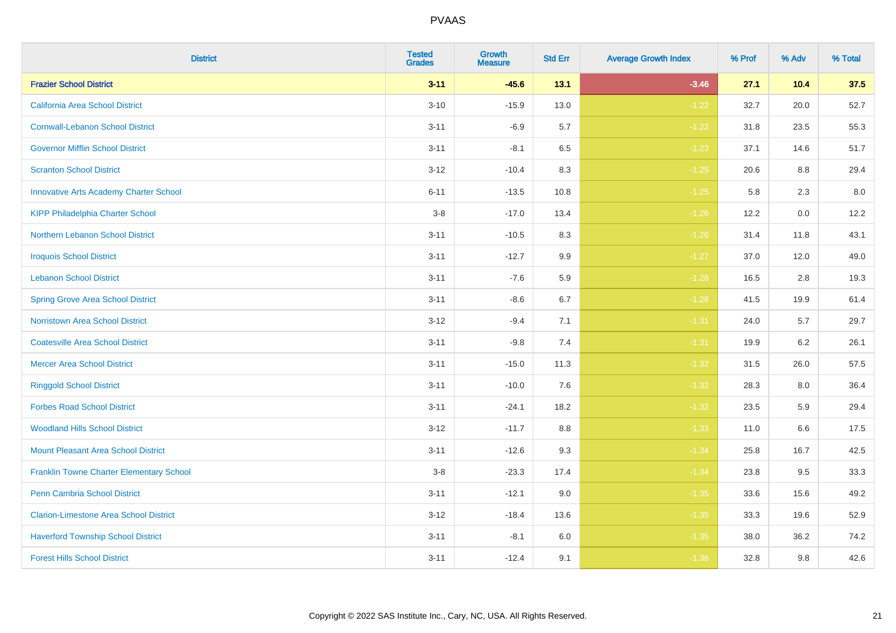| <b>District</b>                                 | <b>Tested</b><br><b>Grades</b> | Growth<br><b>Measure</b> | <b>Std Err</b> | <b>Average Growth Index</b> | % Prof | % Adv | % Total |
|-------------------------------------------------|--------------------------------|--------------------------|----------------|-----------------------------|--------|-------|---------|
| <b>Frazier School District</b>                  | $3 - 11$                       | $-45.6$                  | 13.1           | $-3.46$                     | 27.1   | 10.4  | 37.5    |
| <b>California Area School District</b>          | $3 - 10$                       | $-15.9$                  | 13.0           | $-1.22$                     | 32.7   | 20.0  | 52.7    |
| <b>Cornwall-Lebanon School District</b>         | $3 - 11$                       | $-6.9$                   | 5.7            | $-1.22$                     | 31.8   | 23.5  | 55.3    |
| <b>Governor Mifflin School District</b>         | $3 - 11$                       | $-8.1$                   | 6.5            | $-1.23$                     | 37.1   | 14.6  | 51.7    |
| <b>Scranton School District</b>                 | $3 - 12$                       | $-10.4$                  | 8.3            | $-1.25$                     | 20.6   | 8.8   | 29.4    |
| <b>Innovative Arts Academy Charter School</b>   | $6 - 11$                       | $-13.5$                  | 10.8           | $-1.25$                     | 5.8    | 2.3   | $8.0\,$ |
| <b>KIPP Philadelphia Charter School</b>         | $3-8$                          | $-17.0$                  | 13.4           | $-1.26$                     | 12.2   | 0.0   | 12.2    |
| <b>Northern Lebanon School District</b>         | $3 - 11$                       | $-10.5$                  | 8.3            | $-1.26$                     | 31.4   | 11.8  | 43.1    |
| <b>Iroquois School District</b>                 | $3 - 11$                       | $-12.7$                  | 9.9            | $-1.27$                     | 37.0   | 12.0  | 49.0    |
| <b>Lebanon School District</b>                  | $3 - 11$                       | $-7.6$                   | 5.9            | $-1.28$                     | 16.5   | 2.8   | 19.3    |
| <b>Spring Grove Area School District</b>        | $3 - 11$                       | $-8.6$                   | 6.7            | $-1.28$                     | 41.5   | 19.9  | 61.4    |
| Norristown Area School District                 | $3 - 12$                       | $-9.4$                   | 7.1            | $-1.31$                     | 24.0   | 5.7   | 29.7    |
| <b>Coatesville Area School District</b>         | $3 - 11$                       | $-9.8$                   | 7.4            | $-1.31$                     | 19.9   | 6.2   | 26.1    |
| <b>Mercer Area School District</b>              | $3 - 11$                       | $-15.0$                  | 11.3           | $-1.32$                     | 31.5   | 26.0  | 57.5    |
| <b>Ringgold School District</b>                 | $3 - 11$                       | $-10.0$                  | 7.6            | $-1.32$                     | 28.3   | 8.0   | 36.4    |
| <b>Forbes Road School District</b>              | $3 - 11$                       | $-24.1$                  | 18.2           | $-1.32$                     | 23.5   | 5.9   | 29.4    |
| <b>Woodland Hills School District</b>           | $3 - 12$                       | $-11.7$                  | 8.8            | $-1.33$                     | 11.0   | 6.6   | 17.5    |
| <b>Mount Pleasant Area School District</b>      | $3 - 11$                       | $-12.6$                  | 9.3            | $-1.34$                     | 25.8   | 16.7  | 42.5    |
| <b>Franklin Towne Charter Elementary School</b> | $3-8$                          | $-23.3$                  | 17.4           | $-1.34$                     | 23.8   | 9.5   | 33.3    |
| Penn Cambria School District                    | $3 - 11$                       | $-12.1$                  | 9.0            | $-1.35$                     | 33.6   | 15.6  | 49.2    |
| <b>Clarion-Limestone Area School District</b>   | $3 - 12$                       | $-18.4$                  | 13.6           | $-1.35$                     | 33.3   | 19.6  | 52.9    |
| <b>Haverford Township School District</b>       | $3 - 11$                       | $-8.1$                   | 6.0            | $-1.35$                     | 38.0   | 36.2  | 74.2    |
| <b>Forest Hills School District</b>             | $3 - 11$                       | $-12.4$                  | 9.1            | $-1.36$                     | 32.8   | 9.8   | 42.6    |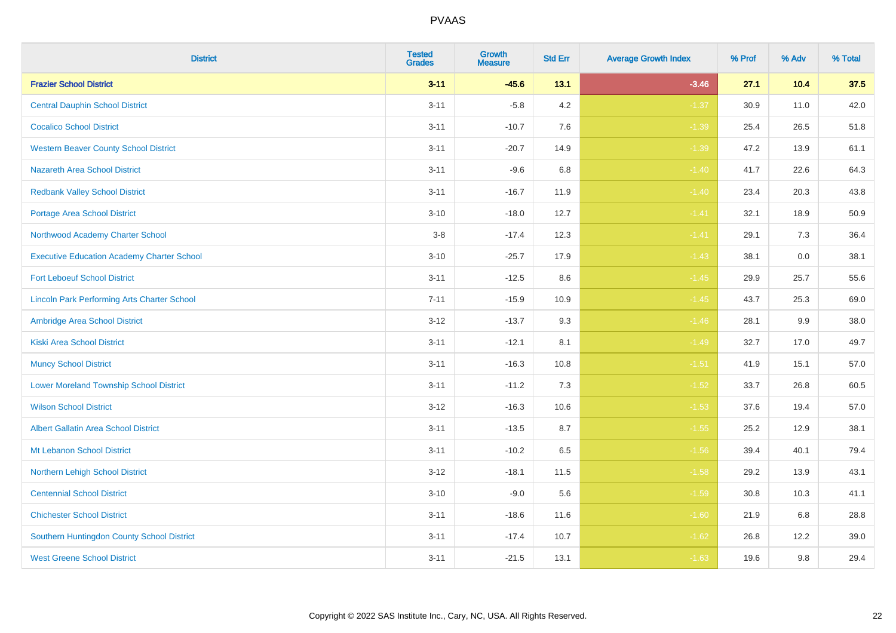| <b>District</b>                                    | <b>Tested</b><br><b>Grades</b> | Growth<br><b>Measure</b> | <b>Std Err</b> | <b>Average Growth Index</b> | % Prof | % Adv | % Total |
|----------------------------------------------------|--------------------------------|--------------------------|----------------|-----------------------------|--------|-------|---------|
| <b>Frazier School District</b>                     | $3 - 11$                       | $-45.6$                  | 13.1           | $-3.46$                     | 27.1   | 10.4  | 37.5    |
| <b>Central Dauphin School District</b>             | $3 - 11$                       | $-5.8$                   | 4.2            | $-1.37$                     | 30.9   | 11.0  | 42.0    |
| <b>Cocalico School District</b>                    | $3 - 11$                       | $-10.7$                  | 7.6            | $-1.39$                     | 25.4   | 26.5  | 51.8    |
| <b>Western Beaver County School District</b>       | $3 - 11$                       | $-20.7$                  | 14.9           | $-1.39$                     | 47.2   | 13.9  | 61.1    |
| <b>Nazareth Area School District</b>               | $3 - 11$                       | $-9.6$                   | 6.8            | $-1.40$                     | 41.7   | 22.6  | 64.3    |
| <b>Redbank Valley School District</b>              | $3 - 11$                       | $-16.7$                  | 11.9           | $-1.40$                     | 23.4   | 20.3  | 43.8    |
| <b>Portage Area School District</b>                | $3 - 10$                       | $-18.0$                  | 12.7           | $-1.41$                     | 32.1   | 18.9  | 50.9    |
| Northwood Academy Charter School                   | $3 - 8$                        | $-17.4$                  | 12.3           | $-1.41$                     | 29.1   | 7.3   | 36.4    |
| <b>Executive Education Academy Charter School</b>  | $3 - 10$                       | $-25.7$                  | 17.9           | $-1.43$                     | 38.1   | 0.0   | 38.1    |
| <b>Fort Leboeuf School District</b>                | $3 - 11$                       | $-12.5$                  | 8.6            | $-1.45$                     | 29.9   | 25.7  | 55.6    |
| <b>Lincoln Park Performing Arts Charter School</b> | $7 - 11$                       | $-15.9$                  | 10.9           | $-1.45$                     | 43.7   | 25.3  | 69.0    |
| Ambridge Area School District                      | $3 - 12$                       | $-13.7$                  | 9.3            | $-1.46$                     | 28.1   | 9.9   | 38.0    |
| <b>Kiski Area School District</b>                  | $3 - 11$                       | $-12.1$                  | 8.1            | $-1.49$                     | 32.7   | 17.0  | 49.7    |
| <b>Muncy School District</b>                       | $3 - 11$                       | $-16.3$                  | 10.8           | $-1.51$                     | 41.9   | 15.1  | 57.0    |
| <b>Lower Moreland Township School District</b>     | $3 - 11$                       | $-11.2$                  | 7.3            | $-1.52$                     | 33.7   | 26.8  | 60.5    |
| <b>Wilson School District</b>                      | $3 - 12$                       | $-16.3$                  | 10.6           | $-1.53$                     | 37.6   | 19.4  | 57.0    |
| <b>Albert Gallatin Area School District</b>        | $3 - 11$                       | $-13.5$                  | 8.7            | $-1.55$                     | 25.2   | 12.9  | 38.1    |
| Mt Lebanon School District                         | $3 - 11$                       | $-10.2$                  | 6.5            | $-1.56$                     | 39.4   | 40.1  | 79.4    |
| Northern Lehigh School District                    | $3 - 12$                       | $-18.1$                  | 11.5           | $-1.58$                     | 29.2   | 13.9  | 43.1    |
| <b>Centennial School District</b>                  | $3 - 10$                       | $-9.0$                   | 5.6            | $-1.59$                     | 30.8   | 10.3  | 41.1    |
| <b>Chichester School District</b>                  | $3 - 11$                       | $-18.6$                  | 11.6           | $-1.60$                     | 21.9   | 6.8   | 28.8    |
| Southern Huntingdon County School District         | $3 - 11$                       | $-17.4$                  | 10.7           | $-1.62$                     | 26.8   | 12.2  | 39.0    |
| <b>West Greene School District</b>                 | $3 - 11$                       | $-21.5$                  | 13.1           | $-1.63$                     | 19.6   | 9.8   | 29.4    |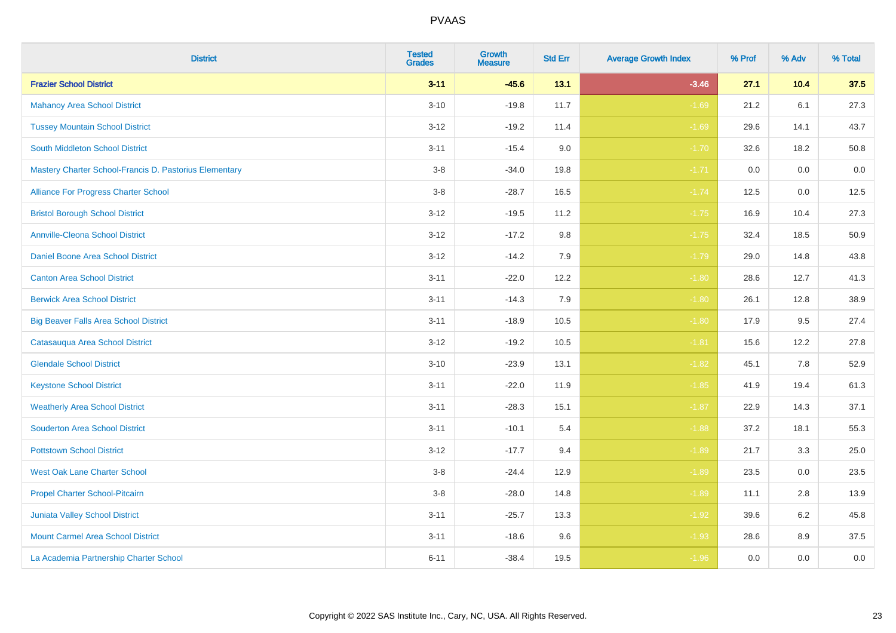| <b>District</b>                                        | <b>Tested</b><br><b>Grades</b> | <b>Growth</b><br><b>Measure</b> | <b>Std Err</b> | <b>Average Growth Index</b> | % Prof | % Adv | % Total |
|--------------------------------------------------------|--------------------------------|---------------------------------|----------------|-----------------------------|--------|-------|---------|
| <b>Frazier School District</b>                         | $3 - 11$                       | $-45.6$                         | 13.1           | $-3.46$                     | 27.1   | 10.4  | 37.5    |
| <b>Mahanoy Area School District</b>                    | $3 - 10$                       | $-19.8$                         | 11.7           | $-1.69$                     | 21.2   | 6.1   | 27.3    |
| <b>Tussey Mountain School District</b>                 | $3 - 12$                       | $-19.2$                         | 11.4           | $-1.69$                     | 29.6   | 14.1  | 43.7    |
| <b>South Middleton School District</b>                 | $3 - 11$                       | $-15.4$                         | 9.0            | $-1.70$                     | 32.6   | 18.2  | 50.8    |
| Mastery Charter School-Francis D. Pastorius Elementary | $3-8$                          | $-34.0$                         | 19.8           | $-1.71$                     | 0.0    | 0.0   | 0.0     |
| Alliance For Progress Charter School                   | $3-8$                          | $-28.7$                         | 16.5           | $-1.74$                     | 12.5   | 0.0   | 12.5    |
| <b>Bristol Borough School District</b>                 | $3 - 12$                       | $-19.5$                         | 11.2           | $-1.75$                     | 16.9   | 10.4  | 27.3    |
| <b>Annville-Cleona School District</b>                 | $3 - 12$                       | $-17.2$                         | 9.8            | $-1.75$                     | 32.4   | 18.5  | 50.9    |
| Daniel Boone Area School District                      | $3 - 12$                       | $-14.2$                         | 7.9            | $-1.79$                     | 29.0   | 14.8  | 43.8    |
| <b>Canton Area School District</b>                     | $3 - 11$                       | $-22.0$                         | 12.2           | $-1.80$                     | 28.6   | 12.7  | 41.3    |
| <b>Berwick Area School District</b>                    | $3 - 11$                       | $-14.3$                         | 7.9            | $-1.80$                     | 26.1   | 12.8  | 38.9    |
| <b>Big Beaver Falls Area School District</b>           | $3 - 11$                       | $-18.9$                         | 10.5           | $-1.80$                     | 17.9   | 9.5   | 27.4    |
| Catasauqua Area School District                        | $3 - 12$                       | $-19.2$                         | 10.5           | $-1.81$                     | 15.6   | 12.2  | 27.8    |
| <b>Glendale School District</b>                        | $3 - 10$                       | $-23.9$                         | 13.1           | $-1.82$                     | 45.1   | 7.8   | 52.9    |
| <b>Keystone School District</b>                        | $3 - 11$                       | $-22.0$                         | 11.9           | $-1.85$                     | 41.9   | 19.4  | 61.3    |
| <b>Weatherly Area School District</b>                  | $3 - 11$                       | $-28.3$                         | 15.1           | $-1.87$                     | 22.9   | 14.3  | 37.1    |
| <b>Souderton Area School District</b>                  | $3 - 11$                       | $-10.1$                         | 5.4            | $-1.88$                     | 37.2   | 18.1  | 55.3    |
| <b>Pottstown School District</b>                       | $3 - 12$                       | $-17.7$                         | 9.4            | $-1.89$                     | 21.7   | 3.3   | 25.0    |
| <b>West Oak Lane Charter School</b>                    | $3-8$                          | $-24.4$                         | 12.9           | $-1.89$                     | 23.5   | 0.0   | 23.5    |
| Propel Charter School-Pitcairn                         | $3 - 8$                        | $-28.0$                         | 14.8           | $-1.89$                     | 11.1   | 2.8   | 13.9    |
| Juniata Valley School District                         | $3 - 11$                       | $-25.7$                         | 13.3           | $-1.92$                     | 39.6   | 6.2   | 45.8    |
| <b>Mount Carmel Area School District</b>               | $3 - 11$                       | $-18.6$                         | 9.6            | $-1.93$                     | 28.6   | 8.9   | 37.5    |
| La Academia Partnership Charter School                 | $6 - 11$                       | $-38.4$                         | 19.5           | $-1.96$                     | 0.0    | 0.0   | $0.0\,$ |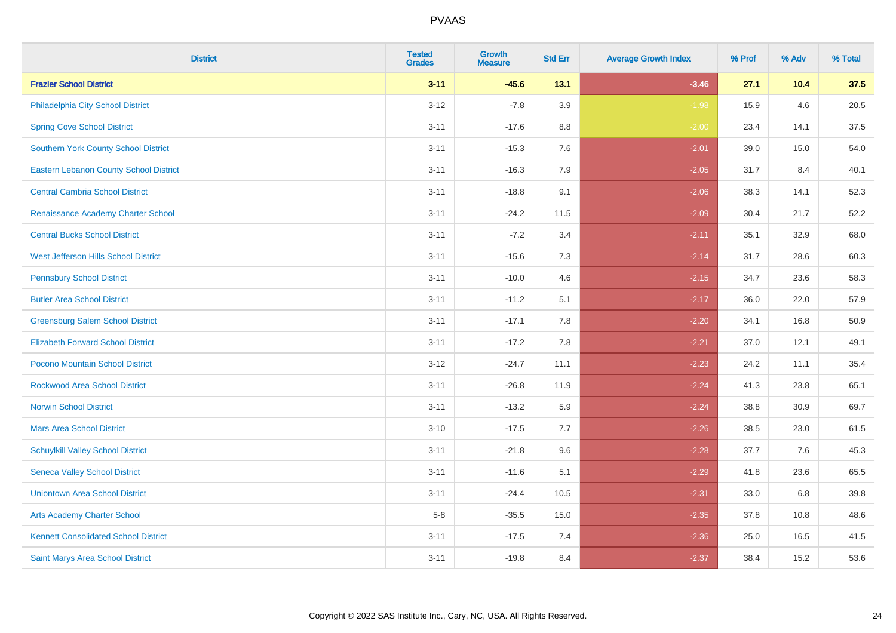| <b>District</b>                               | <b>Tested</b><br><b>Grades</b> | Growth<br><b>Measure</b> | <b>Std Err</b> | <b>Average Growth Index</b> | % Prof | % Adv | % Total |
|-----------------------------------------------|--------------------------------|--------------------------|----------------|-----------------------------|--------|-------|---------|
| <b>Frazier School District</b>                | $3 - 11$                       | $-45.6$                  | 13.1           | $-3.46$                     | 27.1   | 10.4  | 37.5    |
| Philadelphia City School District             | $3 - 12$                       | $-7.8$                   | 3.9            | $-1.98$                     | 15.9   | 4.6   | 20.5    |
| <b>Spring Cove School District</b>            | $3 - 11$                       | $-17.6$                  | 8.8            | $-2.00$                     | 23.4   | 14.1  | 37.5    |
| <b>Southern York County School District</b>   | $3 - 11$                       | $-15.3$                  | 7.6            | $-2.01$                     | 39.0   | 15.0  | 54.0    |
| <b>Eastern Lebanon County School District</b> | $3 - 11$                       | $-16.3$                  | 7.9            | $-2.05$                     | 31.7   | 8.4   | 40.1    |
| <b>Central Cambria School District</b>        | $3 - 11$                       | $-18.8$                  | 9.1            | $-2.06$                     | 38.3   | 14.1  | 52.3    |
| Renaissance Academy Charter School            | $3 - 11$                       | $-24.2$                  | 11.5           | $-2.09$                     | 30.4   | 21.7  | 52.2    |
| <b>Central Bucks School District</b>          | $3 - 11$                       | $-7.2$                   | 3.4            | $-2.11$                     | 35.1   | 32.9  | 68.0    |
| West Jefferson Hills School District          | $3 - 11$                       | $-15.6$                  | 7.3            | $-2.14$                     | 31.7   | 28.6  | 60.3    |
| <b>Pennsbury School District</b>              | $3 - 11$                       | $-10.0$                  | 4.6            | $-2.15$                     | 34.7   | 23.6  | 58.3    |
| <b>Butler Area School District</b>            | $3 - 11$                       | $-11.2$                  | 5.1            | $-2.17$                     | 36.0   | 22.0  | 57.9    |
| <b>Greensburg Salem School District</b>       | $3 - 11$                       | $-17.1$                  | 7.8            | $-2.20$                     | 34.1   | 16.8  | 50.9    |
| <b>Elizabeth Forward School District</b>      | $3 - 11$                       | $-17.2$                  | 7.8            | $-2.21$                     | 37.0   | 12.1  | 49.1    |
| <b>Pocono Mountain School District</b>        | $3 - 12$                       | $-24.7$                  | 11.1           | $-2.23$                     | 24.2   | 11.1  | 35.4    |
| <b>Rockwood Area School District</b>          | $3 - 11$                       | $-26.8$                  | 11.9           | $-2.24$                     | 41.3   | 23.8  | 65.1    |
| <b>Norwin School District</b>                 | $3 - 11$                       | $-13.2$                  | 5.9            | $-2.24$                     | 38.8   | 30.9  | 69.7    |
| <b>Mars Area School District</b>              | $3 - 10$                       | $-17.5$                  | 7.7            | $-2.26$                     | 38.5   | 23.0  | 61.5    |
| <b>Schuylkill Valley School District</b>      | $3 - 11$                       | $-21.8$                  | 9.6            | $-2.28$                     | 37.7   | 7.6   | 45.3    |
| <b>Seneca Valley School District</b>          | $3 - 11$                       | $-11.6$                  | 5.1            | $-2.29$                     | 41.8   | 23.6  | 65.5    |
| <b>Uniontown Area School District</b>         | $3 - 11$                       | $-24.4$                  | 10.5           | $-2.31$                     | 33.0   | 6.8   | 39.8    |
| <b>Arts Academy Charter School</b>            | $5-8$                          | $-35.5$                  | 15.0           | $-2.35$                     | 37.8   | 10.8  | 48.6    |
| <b>Kennett Consolidated School District</b>   | $3 - 11$                       | $-17.5$                  | 7.4            | $-2.36$                     | 25.0   | 16.5  | 41.5    |
| Saint Marys Area School District              | $3 - 11$                       | $-19.8$                  | 8.4            | $-2.37$                     | 38.4   | 15.2  | 53.6    |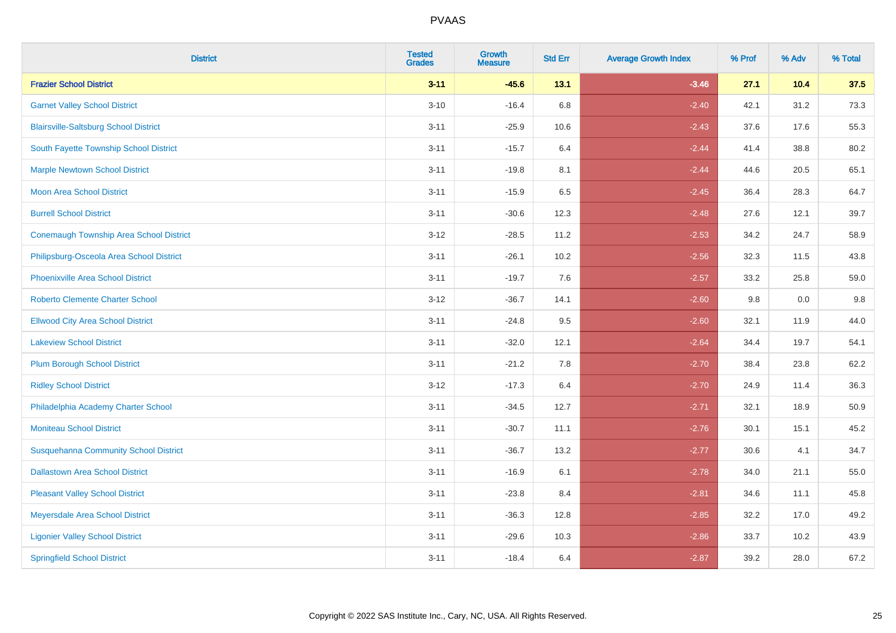| <b>District</b>                                | <b>Tested</b><br><b>Grades</b> | Growth<br><b>Measure</b> | <b>Std Err</b> | <b>Average Growth Index</b> | % Prof | % Adv | % Total |
|------------------------------------------------|--------------------------------|--------------------------|----------------|-----------------------------|--------|-------|---------|
| <b>Frazier School District</b>                 | $3 - 11$                       | $-45.6$                  | 13.1           | $-3.46$                     | 27.1   | 10.4  | 37.5    |
| <b>Garnet Valley School District</b>           | $3 - 10$                       | $-16.4$                  | 6.8            | $-2.40$                     | 42.1   | 31.2  | 73.3    |
| <b>Blairsville-Saltsburg School District</b>   | $3 - 11$                       | $-25.9$                  | 10.6           | $-2.43$                     | 37.6   | 17.6  | 55.3    |
| South Fayette Township School District         | $3 - 11$                       | $-15.7$                  | 6.4            | $-2.44$                     | 41.4   | 38.8  | 80.2    |
| <b>Marple Newtown School District</b>          | $3 - 11$                       | $-19.8$                  | 8.1            | $-2.44$                     | 44.6   | 20.5  | 65.1    |
| <b>Moon Area School District</b>               | $3 - 11$                       | $-15.9$                  | 6.5            | $-2.45$                     | 36.4   | 28.3  | 64.7    |
| <b>Burrell School District</b>                 | $3 - 11$                       | $-30.6$                  | 12.3           | $-2.48$                     | 27.6   | 12.1  | 39.7    |
| <b>Conemaugh Township Area School District</b> | $3 - 12$                       | $-28.5$                  | 11.2           | $-2.53$                     | 34.2   | 24.7  | 58.9    |
| Philipsburg-Osceola Area School District       | $3 - 11$                       | $-26.1$                  | 10.2           | $-2.56$                     | 32.3   | 11.5  | 43.8    |
| <b>Phoenixville Area School District</b>       | $3 - 11$                       | $-19.7$                  | 7.6            | $-2.57$                     | 33.2   | 25.8  | 59.0    |
| <b>Roberto Clemente Charter School</b>         | $3 - 12$                       | $-36.7$                  | 14.1           | $-2.60$                     | 9.8    | 0.0   | 9.8     |
| <b>Ellwood City Area School District</b>       | $3 - 11$                       | $-24.8$                  | 9.5            | $-2.60$                     | 32.1   | 11.9  | 44.0    |
| <b>Lakeview School District</b>                | $3 - 11$                       | $-32.0$                  | 12.1           | $-2.64$                     | 34.4   | 19.7  | 54.1    |
| <b>Plum Borough School District</b>            | $3 - 11$                       | $-21.2$                  | 7.8            | $-2.70$                     | 38.4   | 23.8  | 62.2    |
| <b>Ridley School District</b>                  | $3 - 12$                       | $-17.3$                  | 6.4            | $-2.70$                     | 24.9   | 11.4  | 36.3    |
| Philadelphia Academy Charter School            | $3 - 11$                       | $-34.5$                  | 12.7           | $-2.71$                     | 32.1   | 18.9  | 50.9    |
| <b>Moniteau School District</b>                | $3 - 11$                       | $-30.7$                  | 11.1           | $-2.76$                     | 30.1   | 15.1  | 45.2    |
| <b>Susquehanna Community School District</b>   | $3 - 11$                       | $-36.7$                  | 13.2           | $-2.77$                     | 30.6   | 4.1   | 34.7    |
| <b>Dallastown Area School District</b>         | $3 - 11$                       | $-16.9$                  | 6.1            | $-2.78$                     | 34.0   | 21.1  | 55.0    |
| <b>Pleasant Valley School District</b>         | $3 - 11$                       | $-23.8$                  | 8.4            | $-2.81$                     | 34.6   | 11.1  | 45.8    |
| Meyersdale Area School District                | $3 - 11$                       | $-36.3$                  | 12.8           | $-2.85$                     | 32.2   | 17.0  | 49.2    |
| <b>Ligonier Valley School District</b>         | $3 - 11$                       | $-29.6$                  | 10.3           | $-2.86$                     | 33.7   | 10.2  | 43.9    |
| <b>Springfield School District</b>             | $3 - 11$                       | $-18.4$                  | 6.4            | $-2.87$                     | 39.2   | 28.0  | 67.2    |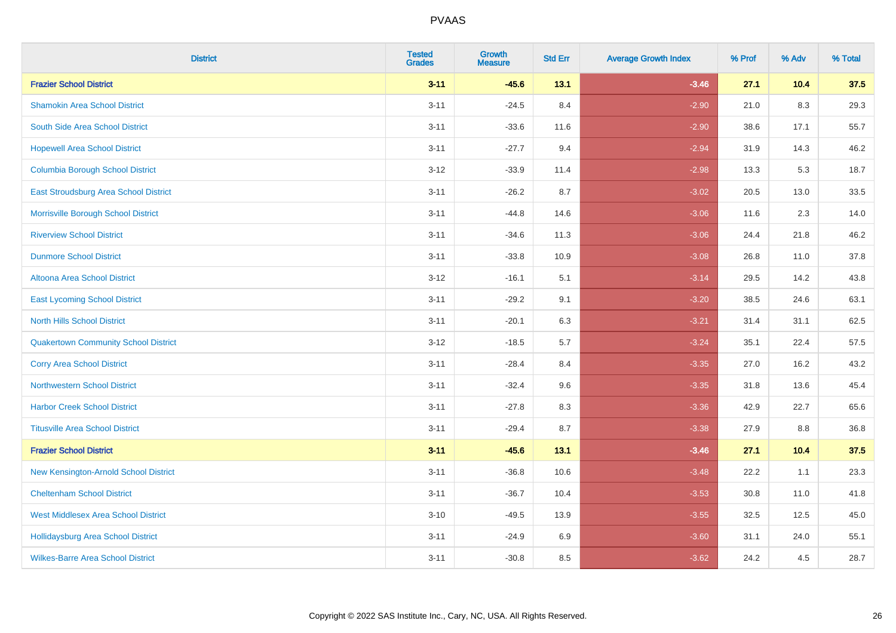| <b>District</b>                             | <b>Tested</b><br><b>Grades</b> | Growth<br><b>Measure</b> | <b>Std Err</b> | <b>Average Growth Index</b> | % Prof | % Adv  | % Total |
|---------------------------------------------|--------------------------------|--------------------------|----------------|-----------------------------|--------|--------|---------|
| <b>Frazier School District</b>              | $3 - 11$                       | $-45.6$                  | 13.1           | $-3.46$                     | 27.1   | 10.4   | 37.5    |
| <b>Shamokin Area School District</b>        | $3 - 11$                       | $-24.5$                  | 8.4            | $-2.90$                     | 21.0   | 8.3    | 29.3    |
| South Side Area School District             | $3 - 11$                       | $-33.6$                  | 11.6           | $-2.90$                     | 38.6   | 17.1   | 55.7    |
| <b>Hopewell Area School District</b>        | $3 - 11$                       | $-27.7$                  | 9.4            | $-2.94$                     | 31.9   | 14.3   | 46.2    |
| <b>Columbia Borough School District</b>     | $3 - 12$                       | $-33.9$                  | 11.4           | $-2.98$                     | 13.3   | 5.3    | 18.7    |
| East Stroudsburg Area School District       | $3 - 11$                       | $-26.2$                  | 8.7            | $-3.02$                     | 20.5   | 13.0   | 33.5    |
| Morrisville Borough School District         | $3 - 11$                       | $-44.8$                  | 14.6           | $-3.06$                     | 11.6   | 2.3    | 14.0    |
| <b>Riverview School District</b>            | $3 - 11$                       | $-34.6$                  | 11.3           | $-3.06$                     | 24.4   | 21.8   | 46.2    |
| <b>Dunmore School District</b>              | $3 - 11$                       | $-33.8$                  | 10.9           | $-3.08$                     | 26.8   | 11.0   | 37.8    |
| <b>Altoona Area School District</b>         | $3-12$                         | $-16.1$                  | 5.1            | $-3.14$                     | 29.5   | 14.2   | 43.8    |
| <b>East Lycoming School District</b>        | $3 - 11$                       | $-29.2$                  | 9.1            | $-3.20$                     | 38.5   | 24.6   | 63.1    |
| <b>North Hills School District</b>          | $3 - 11$                       | $-20.1$                  | 6.3            | $-3.21$                     | 31.4   | 31.1   | 62.5    |
| <b>Quakertown Community School District</b> | $3 - 12$                       | $-18.5$                  | 5.7            | $-3.24$                     | 35.1   | 22.4   | 57.5    |
| <b>Corry Area School District</b>           | $3 - 11$                       | $-28.4$                  | 8.4            | $-3.35$                     | 27.0   | 16.2   | 43.2    |
| <b>Northwestern School District</b>         | $3 - 11$                       | $-32.4$                  | 9.6            | $-3.35$                     | 31.8   | 13.6   | 45.4    |
| <b>Harbor Creek School District</b>         | $3 - 11$                       | $-27.8$                  | 8.3            | $-3.36$                     | 42.9   | 22.7   | 65.6    |
| <b>Titusville Area School District</b>      | $3 - 11$                       | $-29.4$                  | 8.7            | $-3.38$                     | 27.9   | 8.8    | 36.8    |
| <b>Frazier School District</b>              | $3 - 11$                       | $-45.6$                  | 13.1           | $-3.46$                     | 27.1   | $10.4$ | 37.5    |
| New Kensington-Arnold School District       | $3 - 11$                       | $-36.8$                  | 10.6           | $-3.48$                     | 22.2   | 1.1    | 23.3    |
| <b>Cheltenham School District</b>           | $3 - 11$                       | $-36.7$                  | 10.4           | $-3.53$                     | 30.8   | 11.0   | 41.8    |
| <b>West Middlesex Area School District</b>  | $3 - 10$                       | $-49.5$                  | 13.9           | $-3.55$                     | 32.5   | 12.5   | 45.0    |
| <b>Hollidaysburg Area School District</b>   | $3 - 11$                       | $-24.9$                  | 6.9            | $-3.60$                     | 31.1   | 24.0   | 55.1    |
| <b>Wilkes-Barre Area School District</b>    | $3 - 11$                       | $-30.8$                  | 8.5            | $-3.62$                     | 24.2   | 4.5    | 28.7    |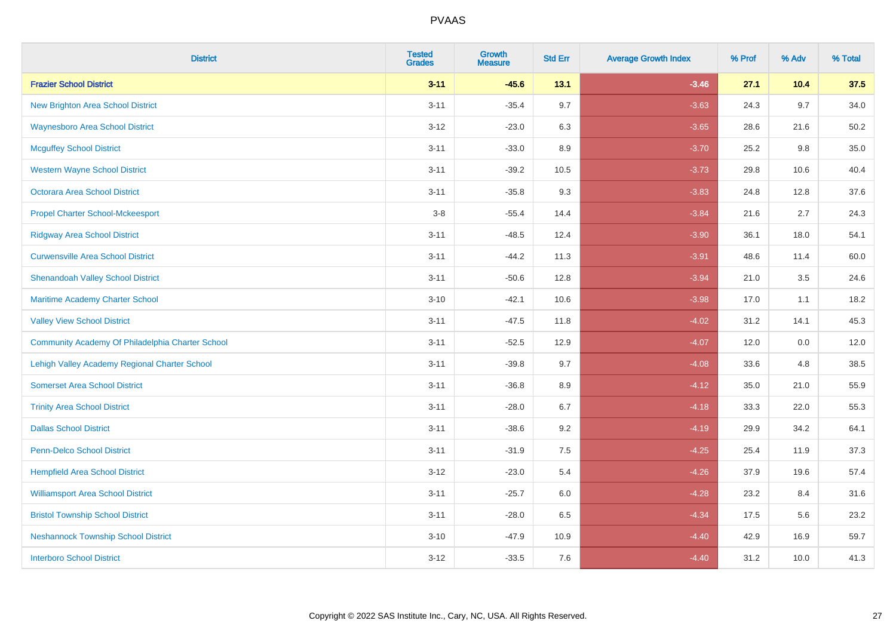| <b>District</b>                                  | <b>Tested</b><br><b>Grades</b> | Growth<br><b>Measure</b> | <b>Std Err</b> | <b>Average Growth Index</b> | % Prof | % Adv | % Total |
|--------------------------------------------------|--------------------------------|--------------------------|----------------|-----------------------------|--------|-------|---------|
| <b>Frazier School District</b>                   | $3 - 11$                       | $-45.6$                  | 13.1           | $-3.46$                     | 27.1   | 10.4  | 37.5    |
| <b>New Brighton Area School District</b>         | $3 - 11$                       | $-35.4$                  | 9.7            | $-3.63$                     | 24.3   | 9.7   | 34.0    |
| <b>Waynesboro Area School District</b>           | $3 - 12$                       | $-23.0$                  | 6.3            | $-3.65$                     | 28.6   | 21.6  | 50.2    |
| <b>Mcguffey School District</b>                  | $3 - 11$                       | $-33.0$                  | 8.9            | $-3.70$                     | 25.2   | 9.8   | 35.0    |
| <b>Western Wayne School District</b>             | $3 - 11$                       | $-39.2$                  | 10.5           | $-3.73$                     | 29.8   | 10.6  | 40.4    |
| <b>Octorara Area School District</b>             | $3 - 11$                       | $-35.8$                  | 9.3            | $-3.83$                     | 24.8   | 12.8  | 37.6    |
| <b>Propel Charter School-Mckeesport</b>          | $3-8$                          | $-55.4$                  | 14.4           | $-3.84$                     | 21.6   | 2.7   | 24.3    |
| <b>Ridgway Area School District</b>              | $3 - 11$                       | $-48.5$                  | 12.4           | $-3.90$                     | 36.1   | 18.0  | 54.1    |
| <b>Curwensville Area School District</b>         | $3 - 11$                       | $-44.2$                  | 11.3           | $-3.91$                     | 48.6   | 11.4  | 60.0    |
| <b>Shenandoah Valley School District</b>         | $3 - 11$                       | $-50.6$                  | 12.8           | $-3.94$                     | 21.0   | 3.5   | 24.6    |
| Maritime Academy Charter School                  | $3 - 10$                       | $-42.1$                  | 10.6           | $-3.98$                     | 17.0   | 1.1   | 18.2    |
| <b>Valley View School District</b>               | $3 - 11$                       | $-47.5$                  | 11.8           | $-4.02$                     | 31.2   | 14.1  | 45.3    |
| Community Academy Of Philadelphia Charter School | $3 - 11$                       | $-52.5$                  | 12.9           | $-4.07$                     | 12.0   | 0.0   | 12.0    |
| Lehigh Valley Academy Regional Charter School    | $3 - 11$                       | $-39.8$                  | 9.7            | $-4.08$                     | 33.6   | 4.8   | 38.5    |
| <b>Somerset Area School District</b>             | $3 - 11$                       | $-36.8$                  | 8.9            | $-4.12$                     | 35.0   | 21.0  | 55.9    |
| <b>Trinity Area School District</b>              | $3 - 11$                       | $-28.0$                  | 6.7            | $-4.18$                     | 33.3   | 22.0  | 55.3    |
| <b>Dallas School District</b>                    | $3 - 11$                       | $-38.6$                  | 9.2            | $-4.19$                     | 29.9   | 34.2  | 64.1    |
| Penn-Delco School District                       | $3 - 11$                       | $-31.9$                  | 7.5            | $-4.25$                     | 25.4   | 11.9  | 37.3    |
| <b>Hempfield Area School District</b>            | $3 - 12$                       | $-23.0$                  | 5.4            | $-4.26$                     | 37.9   | 19.6  | 57.4    |
| <b>Williamsport Area School District</b>         | $3 - 11$                       | $-25.7$                  | 6.0            | $-4.28$                     | 23.2   | 8.4   | 31.6    |
| <b>Bristol Township School District</b>          | $3 - 11$                       | $-28.0$                  | 6.5            | $-4.34$                     | 17.5   | 5.6   | 23.2    |
| <b>Neshannock Township School District</b>       | $3 - 10$                       | $-47.9$                  | 10.9           | $-4.40$                     | 42.9   | 16.9  | 59.7    |
| <b>Interboro School District</b>                 | $3 - 12$                       | $-33.5$                  | 7.6            | $-4.40$                     | 31.2   | 10.0  | 41.3    |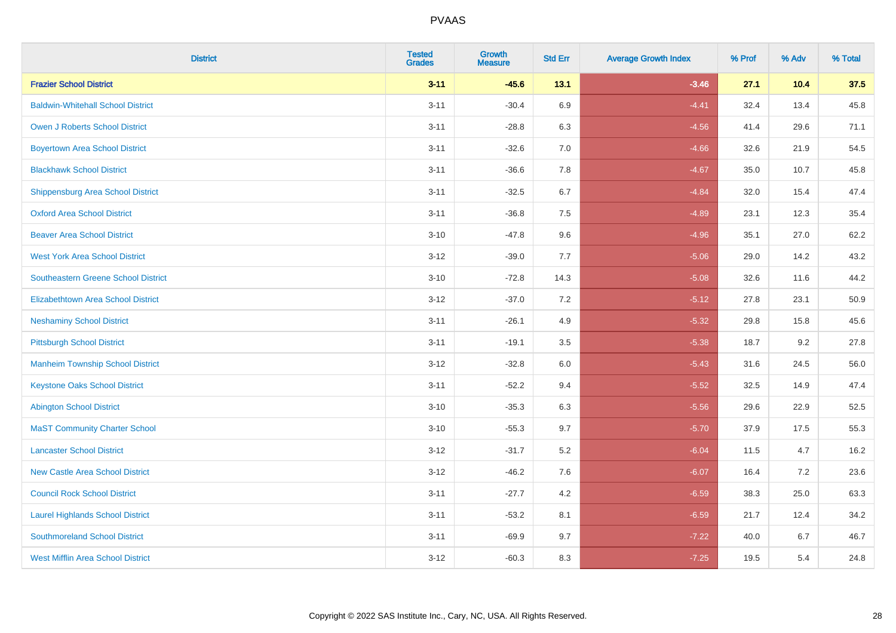| <b>District</b>                            | <b>Tested</b><br><b>Grades</b> | Growth<br><b>Measure</b> | <b>Std Err</b> | <b>Average Growth Index</b> | % Prof | % Adv | % Total |
|--------------------------------------------|--------------------------------|--------------------------|----------------|-----------------------------|--------|-------|---------|
| <b>Frazier School District</b>             | $3 - 11$                       | $-45.6$                  | 13.1           | $-3.46$                     | 27.1   | 10.4  | 37.5    |
| <b>Baldwin-Whitehall School District</b>   | $3 - 11$                       | $-30.4$                  | 6.9            | $-4.41$                     | 32.4   | 13.4  | 45.8    |
| <b>Owen J Roberts School District</b>      | $3 - 11$                       | $-28.8$                  | 6.3            | $-4.56$                     | 41.4   | 29.6  | 71.1    |
| <b>Boyertown Area School District</b>      | $3 - 11$                       | $-32.6$                  | 7.0            | $-4.66$                     | 32.6   | 21.9  | 54.5    |
| <b>Blackhawk School District</b>           | $3 - 11$                       | $-36.6$                  | 7.8            | $-4.67$                     | 35.0   | 10.7  | 45.8    |
| Shippensburg Area School District          | $3 - 11$                       | $-32.5$                  | 6.7            | $-4.84$                     | 32.0   | 15.4  | 47.4    |
| <b>Oxford Area School District</b>         | $3 - 11$                       | $-36.8$                  | $7.5\,$        | $-4.89$                     | 23.1   | 12.3  | 35.4    |
| <b>Beaver Area School District</b>         | $3 - 10$                       | $-47.8$                  | 9.6            | $-4.96$                     | 35.1   | 27.0  | 62.2    |
| <b>West York Area School District</b>      | $3 - 12$                       | $-39.0$                  | 7.7            | $-5.06$                     | 29.0   | 14.2  | 43.2    |
| <b>Southeastern Greene School District</b> | $3 - 10$                       | $-72.8$                  | 14.3           | $-5.08$                     | 32.6   | 11.6  | 44.2    |
| <b>Elizabethtown Area School District</b>  | $3 - 12$                       | $-37.0$                  | $7.2\,$        | $-5.12$                     | 27.8   | 23.1  | 50.9    |
| <b>Neshaminy School District</b>           | $3 - 11$                       | $-26.1$                  | 4.9            | $-5.32$                     | 29.8   | 15.8  | 45.6    |
| <b>Pittsburgh School District</b>          | $3 - 11$                       | $-19.1$                  | 3.5            | $-5.38$                     | 18.7   | 9.2   | 27.8    |
| <b>Manheim Township School District</b>    | $3 - 12$                       | $-32.8$                  | $6.0\,$        | $-5.43$                     | 31.6   | 24.5  | 56.0    |
| <b>Keystone Oaks School District</b>       | $3 - 11$                       | $-52.2$                  | 9.4            | $-5.52$                     | 32.5   | 14.9  | 47.4    |
| <b>Abington School District</b>            | $3 - 10$                       | $-35.3$                  | 6.3            | $-5.56$                     | 29.6   | 22.9  | 52.5    |
| <b>MaST Community Charter School</b>       | $3 - 10$                       | $-55.3$                  | 9.7            | $-5.70$                     | 37.9   | 17.5  | 55.3    |
| <b>Lancaster School District</b>           | $3 - 12$                       | $-31.7$                  | $5.2\,$        | $-6.04$                     | 11.5   | 4.7   | 16.2    |
| <b>New Castle Area School District</b>     | $3 - 12$                       | $-46.2$                  | 7.6            | $-6.07$                     | 16.4   | 7.2   | 23.6    |
| <b>Council Rock School District</b>        | $3 - 11$                       | $-27.7$                  | 4.2            | $-6.59$                     | 38.3   | 25.0  | 63.3    |
| <b>Laurel Highlands School District</b>    | $3 - 11$                       | $-53.2$                  | 8.1            | $-6.59$                     | 21.7   | 12.4  | 34.2    |
| <b>Southmoreland School District</b>       | $3 - 11$                       | $-69.9$                  | 9.7            | $-7.22$                     | 40.0   | 6.7   | 46.7    |
| <b>West Mifflin Area School District</b>   | $3 - 12$                       | $-60.3$                  | 8.3            | $-7.25$                     | 19.5   | 5.4   | 24.8    |